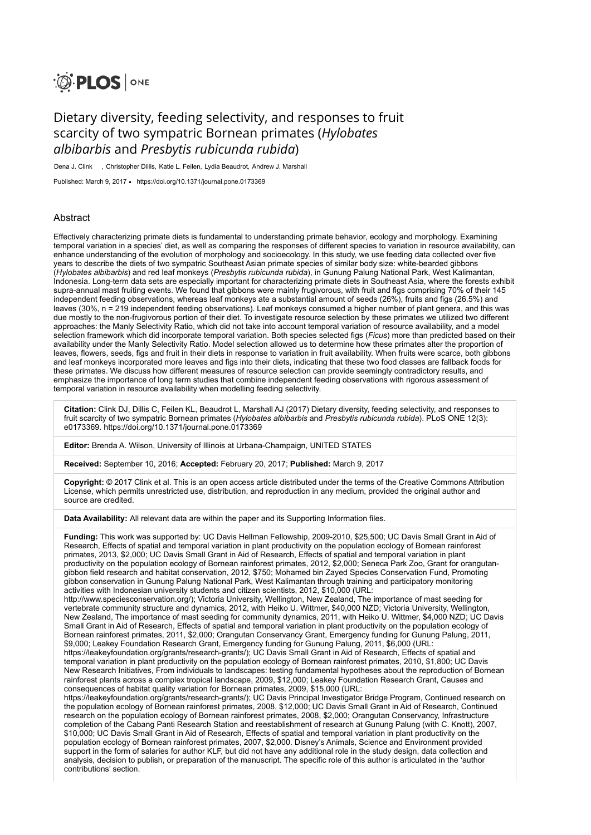# <sup>5</sup> PLOS ONE

# Dietary diversity, feeding selectivity, and responses to fruit scarcity of two sympatric Bornean primates (*Hylobates albibarbis* and *Presbytis rubicunda rubida*)

Dena J. Clink , Christopher Dillis, Katie L. Feilen, Lydia Beaudrot, Andrew J. Marshall

Published: March 9, 2017 · <https://doi.org/10.1371/journal.pone.0173369>

# Abstract

Effectively characterizing primate diets is fundamental to understanding primate behavior, ecology and morphology. Examining temporal variation in a species' diet, as well as comparing the responses of different species to variation in resource availability, can enhance understanding of the evolution of morphology and socioecology. In this study, we use feeding data collected over five years to describe the diets of two sympatric Southeast Asian primate species of similar body size: white-bearded gibbons (*Hylobates albibarbis*) and red leaf monkeys (*Presbytis rubicunda rubida*), in Gunung Palung National Park, West Kalimantan, Indonesia. Long-term data sets are especially important for characterizing primate diets in Southeast Asia, where the forests exhibit supra-annual mast fruiting events. We found that gibbons were mainly frugivorous, with fruit and figs comprising 70% of their 145 independent feeding observations, whereas leaf monkeys ate a substantial amount of seeds (26%), fruits and figs (26.5%) and leaves (30%, n = 219 independent feeding observations). Leaf monkeys consumed a higher number of plant genera, and this was due mostly to the non-frugivorous portion of their diet. To investigate resource selection by these primates we utilized two different approaches: the Manly Selectivity Ratio, which did not take into account temporal variation of resource availability, and a model selection framework which did incorporate temporal variation. Both species selected figs (*Ficus*) more than predicted based on their availability under the Manly Selectivity Ratio. Model selection allowed us to determine how these primates alter the proportion of leaves, flowers, seeds, figs and fruit in their diets in response to variation in fruit availability. When fruits were scarce, both gibbons and leaf monkeys incorporated more leaves and figs into their diets, indicating that these two food classes are fallback foods for these primates. We discuss how different measures of resource selection can provide seemingly contradictory results, and emphasize the importance of long term studies that combine independent feeding observations with rigorous assessment of temporal variation in resource availability when modelling feeding selectivity.

**Citation:** Clink DJ, Dillis C, Feilen KL, Beaudrot L, Marshall AJ (2017) Dietary diversity, feeding selectivity, and responses to fruit scarcity of two sympatric Bornean primates (*Hylobates albibarbis* and *Presbytis rubicunda rubida*). PLoS ONE 12(3): e0173369. https://doi.org/10.1371/journal.pone.0173369

**Editor:** Brenda A. Wilson, University of Illinois at Urbana-Champaign, UNITED STATES

**Received:** September 10, 2016; **Accepted:** February 20, 2017; **Published:** March 9, 2017

**Copyright:** © 2017 Clink et al. This is an open access article distributed under the terms of the Creative Commons Attribution [License, which permits unrestricted use, distribution, and reproduction in any medium, provided the original author and](http://creativecommons.org/licenses/by/4.0/) source are credited.

**Data Availability:** All relevant data are within the paper and its Supporting Information files.

**Funding:** This work was supported by: UC Davis Hellman Fellowship, 2009-2010, \$25,500; UC Davis Small Grant in Aid of Research, Effects of spatial and temporal variation in plant productivity on the population ecology of Bornean rainforest primates, 2013, \$2,000; UC Davis Small Grant in Aid of Research, Effects of spatial and temporal variation in plant productivity on the population ecology of Bornean rainforest primates, 2012, \$2,000; Seneca Park Zoo, Grant for orangutangibbon field research and habitat conservation, 2012, \$750; Mohamed bin Zayed Species Conservation Fund, Promoting gibbon conservation in Gunung Palung National Park, West Kalimantan through training and participatory monitoring activities with Indonesian university students and citizen scientists, 2012, \$10,000 (URL:

<http://www.speciesconservation.org/>); Victoria University, Wellington, New Zealand, The importance of mast seeding for vertebrate community structure and dynamics, 2012, with Heiko U. Wittmer, \$40,000 NZD; Victoria University, Wellington, New Zealand, The importance of mast seeding for community dynamics, 2011, with Heiko U. Wittmer, \$4,000 NZD; UC Davis Small Grant in Aid of Research, Effects of spatial and temporal variation in plant productivity on the population ecology of Bornean rainforest primates, 2011, \$2,000; Orangutan Conservancy Grant, Emergency funding for Gunung Palung, 2011, \$9,000; Leakey Foundation Research Grant, Emergency funding for Gunung Palung, 2011, \$6,000 (URL:

[https://leakeyfoundation.org/grants/research-grants/\)](https://leakeyfoundation.org/grants/research-grants/); UC Davis Small Grant in Aid of Research, Effects of spatial and temporal variation in plant productivity on the population ecology of Bornean rainforest primates, 2010, \$1,800; UC Davis New Research Initiatives, From individuals to landscapes: testing fundamental hypotheses about the reproduction of Bornean rainforest plants across a complex tropical landscape, 2009, \$12,000; Leakey Foundation Research Grant, Causes and consequences of habitat quality variation for Bornean primates, 2009, \$15,000 (URL:

[https://leakeyfoundation.org/grants/research-grants/\)](https://leakeyfoundation.org/grants/research-grants/); UC Davis Principal Investigator Bridge Program, Continued research on the population ecology of Bornean rainforest primates, 2008, \$12,000; UC Davis Small Grant in Aid of Research, Continued research on the population ecology of Bornean rainforest primates, 2008, \$2,000; Orangutan Conservancy, Infrastructure completion of the Cabang Panti Research Station and reestablishment of research at Gunung Palung (with C. Knott), 2007, \$10,000; UC Davis Small Grant in Aid of Research, Effects of spatial and temporal variation in plant productivity on the population ecology of Bornean rainforest primates, 2007, \$2,000. Disney's Animals, Science and Environment provided support in the form of salaries for author KLF, but did not have any additional role in the study design, data collection and analysis, decision to publish, or preparation of the manuscript. The specific role of this author is articulated in the 'author contributions' section.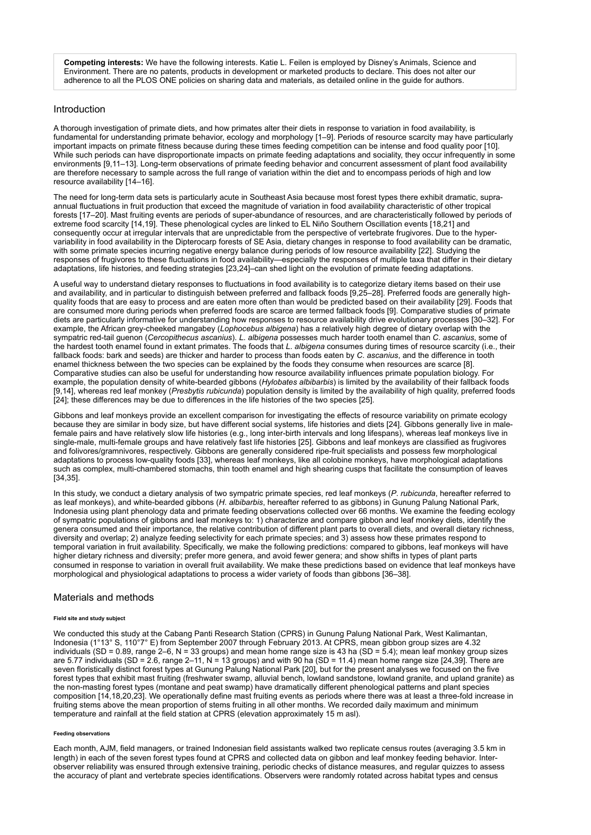**Competing interests:** We have the following interests. Katie L. Feilen is employed by Disney's Animals, Science and Environment. There are no patents, products in development or marketed products to declare. This does not alter our adherence to all the PLOS ONE policies on sharing data and materials, as detailed online in the guide for authors.

# Introduction

A thorough investigation of primate diets, and how primates alter their diets in response to variation in food availability, is fundamental for understanding primate behavior, ecology and morphology [\[1–](#page-10-0)[9\]](#page-10-1). Periods of resource scarcity may have particularly important impacts on primate fitness because during these times feeding competition can be intense and food quality poor [[10](#page-10-2)]. While such periods can have disproportionate impacts on primate feeding adaptations and sociality, they occur infrequently in some environments [[9](#page-10-1)[,11–](#page-10-3)[13\]](#page-10-4). Long-term observations of primate feeding behavior and concurrent assessment of plant food availability are therefore necessary to sample across the full range of variation within the diet and to encompass periods of high and low resource availability [[14–](#page-10-5)[16](#page-10-6)].

The need for long-term data sets is particularly acute in Southeast Asia because most forest types there exhibit dramatic, supraannual fluctuations in fruit production that exceed the magnitude of variation in food availability characteristic of other tropical forests [[17–](#page-10-7)[20\]](#page-11-0). Mast fruiting events are periods of super-abundance of resources, and are characteristically followed by periods of extreme food scarcity [[14,](#page-10-5)[19\]](#page-11-1). These phenological cycles are linked to EL Niño Southern Oscillation events [\[18](#page-11-2),[21](#page-11-3)] and consequently occur at irregular intervals that are unpredictable from the perspective of vertebrate frugivores. Due to the hypervariability in food availability in the Dipterocarp forests of SE Asia, dietary changes in response to food availability can be dramatic, with some primate species incurring negative energy balance during periods of low resource availability [[22\]](#page-11-4). Studying the responses of frugivores to these fluctuations in food availability—especially the responses of multiple taxa that differ in their dietary adaptations, life histories, and feeding strategies [[23,](#page-11-5)[24\]](#page-11-6)–can shed light on the evolution of primate feeding adaptations.

A useful way to understand dietary responses to fluctuations in food availability is to categorize dietary items based on their use and availability, and in particular to distinguish between preferred and fallback foods [[9](#page-10-1)[,25](#page-11-7)–[28\]](#page-11-8). Preferred foods are generally highquality foods that are easy to process and are eaten more often than would be predicted based on their availability [[29](#page-11-9)]. Foods that are consumed more during periods when preferred foods are scarce are termed fallback foods [\[9\]](#page-10-1). Comparative studies of primate diets are particularly informative for understanding how responses to resource availability drive evolutionary processes [\[30](#page-11-10)[–32](#page-11-11)]. For example, the African grey-cheeked mangabey (*Lophocebus albigena*) has a relatively high degree of dietary overlap with the sympatric red-tail guenon (*Cercopithecus ascanius*). *L*. *albigena* possesses much harder tooth enamel than *C*. *ascanius*, some of the hardest tooth enamel found in extant primates. The foods that *L*. *albigena* consumes during times of resource scarcity (i.e., their fallback foods: bark and seeds) are thicker and harder to process than foods eaten by *C*. *ascanius*, and the difference in tooth enamel thickness between the two species can be explained by the foods they consume when resources are scarce [\[8\]](#page-10-8). Comparative studies can also be useful for understanding how resource availability influences primate population biology. For example, the population density of white-bearded gibbons (*Hylobates albibarbis*) is limited by the availability of their fallback foods [\[9,](#page-10-1)[14\]](#page-10-5), whereas red leaf monkey (*Presbytis rubicunda*) population density is limited by the availability of high quality, preferred foods [\[24](#page-11-6)]; these differences may be due to differences in the life histories of the two species [[25\]](#page-11-7).

Gibbons and leaf monkeys provide an excellent comparison for investigating the effects of resource variability on primate ecology because they are similar in body size, but have different social systems, life histories and diets [[24\]](#page-11-6). Gibbons generally live in malefemale pairs and have relatively slow life histories (e.g., long inter-birth intervals and long lifespans), whereas leaf monkeys live in single-male, multi-female groups and have relatively fast life histories [[25\]](#page-11-7). Gibbons and leaf monkeys are classified as frugivores and folivores/gramnivores, respectively. Gibbons are generally considered ripe-fruit specialists and possess few morphological adaptations to process low-quality foods [[33\]](#page-11-12), whereas leaf monkeys, like all colobine monkeys, have morphological adaptations such as complex, multi-chambered stomachs, thin tooth enamel and high shearing cusps that facilitate the consumption of leaves [\[34](#page-11-13),[35](#page-11-14)].

In this study, we conduct a dietary analysis of two sympatric primate species, red leaf monkeys (*P*. *rubicunda*, hereafter referred to as leaf monkeys), and white-bearded gibbons (*H*. *albibarbis*, hereafter referred to as gibbons) in Gunung Palung National Park, Indonesia using plant phenology data and primate feeding observations collected over 66 months. We examine the feeding ecology of sympatric populations of gibbons and leaf monkeys to: 1) characterize and compare gibbon and leaf monkey diets, identify the genera consumed and their importance, the relative contribution of different plant parts to overall diets, and overall dietary richness, diversity and overlap; 2) analyze feeding selectivity for each primate species; and 3) assess how these primates respond to temporal variation in fruit availability. Specifically, we make the following predictions: compared to gibbons, leaf monkeys will have higher dietary richness and diversity; prefer more genera, and avoid fewer genera; and show shifts in types of plant parts consumed in response to variation in overall fruit availability. We make these predictions based on evidence that leaf monkeys have morphological and physiological adaptations to process a wider variety of foods than gibbons [\[36](#page-11-15)–[38\]](#page-12-0).

# Materials and methods

#### **Field site and study subject**

We conducted this study at the Cabang Panti Research Station (CPRS) in Gunung Palung National Park, West Kalimantan, Indonesia (1°13° S, 110°7° E) from September 2007 through February 2013. At CPRS, mean gibbon group sizes are 4.32 individuals (SD = 0.89, range 2–6, N = 33 groups) and mean home range size is 43 ha (SD = 5.4); mean leaf monkey group sizes are 5.77 individuals (SD = 2.6, range 2–11, N = 13 groups) and with 90 ha (SD = 11.4) mean home range size [\[24](#page-11-6),[39](#page-12-1)]. There are seven floristically distinct forest types at Gunung Palung National Park [[20\]](#page-11-0), but for the present analyses we focused on the five forest types that exhibit mast fruiting (freshwater swamp, alluvial bench, lowland sandstone, lowland granite, and upland granite) as the non-masting forest types (montane and peat swamp) have dramatically different phenological patterns and plant species composition [\[14](#page-10-5),[18](#page-11-2),[20,](#page-11-0)[23\]](#page-11-5). We operationally define mast fruiting events as periods where there was at least a three-fold increase in fruiting stems above the mean proportion of stems fruiting in all other months. We recorded daily maximum and minimum temperature and rainfall at the field station at CPRS (elevation approximately 15 m asl).

#### **Feeding observations**

Each month, AJM, field managers, or trained Indonesian field assistants walked two replicate census routes (averaging 3.5 km in length) in each of the seven forest types found at CPRS and collected data on gibbon and leaf monkey feeding behavior. Interobserver reliability was ensured through extensive training, periodic checks of distance measures, and regular quizzes to assess the accuracy of plant and vertebrate species identifications. Observers were randomly rotated across habitat types and census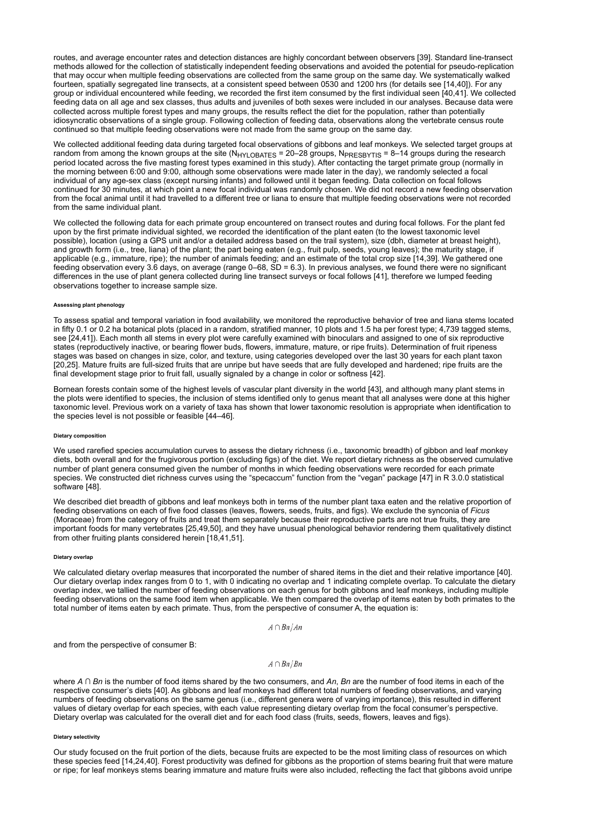routes, and average encounter rates and detection distances are highly concordant between observers [\[39](#page-12-1)]. Standard line-transect methods allowed for the collection of statistically independent feeding observations and avoided the potential for pseudo-replication that may occur when multiple feeding observations are collected from the same group on the same day. We systematically walked fourteen, spatially segregated line transects, at a consistent speed between 0530 and 1200 hrs (for details see [\[14](#page-10-5)[,40](#page-12-2)]). For any group or individual encountered while feeding, we recorded the first item consumed by the first individual seen [\[40](#page-12-2)[,41](#page-12-3)]. We collected feeding data on all age and sex classes, thus adults and juveniles of both sexes were included in our analyses. Because data were collected across multiple forest types and many groups, the results reflect the diet for the population, rather than potentially idiosyncratic observations of a single group. Following collection of feeding data, observations along the vertebrate census route continued so that multiple feeding observations were not made from the same group on the same day.

We collected additional feeding data during targeted focal observations of gibbons and leaf monkeys. We selected target groups at random from among the known groups at the site (N<sub>HYLOBATES</sub> = 20–28 groups, N $_{\rm PESBYTIS}$  = 8–14 groups during the research period located across the five masting forest types examined in this study). After contacting the target primate group (normally in the morning between 6:00 and 9:00, although some observations were made later in the day), we randomly selected a focal individual of any age-sex class (except nursing infants) and followed until it began feeding. Data collection on focal follows continued for 30 minutes, at which point a new focal individual was randomly chosen. We did not record a new feeding observation from the focal animal until it had travelled to a different tree or liana to ensure that multiple feeding observations were not recorded from the same individual plant.

We collected the following data for each primate group encountered on transect routes and during focal follows. For the plant fed upon by the first primate individual sighted, we recorded the identification of the plant eaten (to the lowest taxonomic level possible), location (using a GPS unit and/or a detailed address based on the trail system), size (dbh, diameter at breast height), and growth form (i.e., tree, liana) of the plant; the part being eaten (e.g., fruit pulp, seeds, young leaves); the maturity stage, if applicable (e.g., immature, ripe); the number of animals feeding; and an estimate of the total crop size [\[14](#page-10-5),[39](#page-12-1)]. We gathered one feeding observation every 3.6 days, on average (range 0–68, SD = 6.3). In previous analyses, we found there were no significant differences in the use of plant genera collected during line transect surveys or focal follows [[41\]](#page-12-3), therefore we lumped feeding observations together to increase sample size.

#### **Assessing plant phenology**

To assess spatial and temporal variation in food availability, we monitored the reproductive behavior of tree and liana stems located in fifty 0.1 or 0.2 ha botanical plots (placed in a random, stratified manner, 10 plots and 1.5 ha per forest type; 4,739 tagged stems, see [[24](#page-11-6),[41\]](#page-12-3)). Each month all stems in every plot were carefully examined with binoculars and assigned to one of six reproductive states (reproductively inactive, or bearing flower buds, flowers, immature, mature, or ripe fruits). Determination of fruit ripeness stages was based on changes in size, color, and texture, using categories developed over the last 30 years for each plant taxon [\[20](#page-11-0),[25](#page-11-7)]. Mature fruits are full-sized fruits that are unripe but have seeds that are fully developed and hardened; ripe fruits are the final development stage prior to fruit fall, usually signaled by a change in color or softness [[42\]](#page-12-4).

Bornean forests contain some of the highest levels of vascular plant diversity in the world [[43](#page-12-5)], and although many plant stems in the plots were identified to species, the inclusion of stems identified only to genus meant that all analyses were done at this higher taxonomic level. Previous work on a variety of taxa has shown that lower taxonomic resolution is appropriate when identification to the species level is not possible or feasible [[44–](#page-12-6)[46](#page-12-7)].

# **Dietary composition**

We used rarefied species accumulation curves to assess the dietary richness (i.e., taxonomic breadth) of gibbon and leaf monkey diets, both overall and for the frugivorous portion (excluding figs) of the diet. We report dietary richness as the observed cumulative number of plant genera consumed given the number of months in which feeding observations were recorded for each primate species. We constructed diet richness curves using the "specaccum" function from the "vegan" package [[47\]](#page-12-8) in R 3.0.0 statistical software [[48\]](#page-12-9).

We described diet breadth of gibbons and leaf monkeys both in terms of the number plant taxa eaten and the relative proportion of feeding observations on each of five food classes (leaves, flowers, seeds, fruits, and figs). We exclude the synconia of *Ficus* (Moraceae) from the category of fruits and treat them separately because their reproductive parts are not true fruits, they are important foods for many vertebrates [\[25](#page-11-7),[49](#page-12-10),[50\]](#page-12-11), and they have unusual phenological behavior rendering them qualitatively distinct from other fruiting plants considered herein [[18,](#page-11-2)[41,](#page-12-3)[51\]](#page-12-12).

#### **Dietary overlap**

We calculated dietary overlap measures that incorporated the number of shared items in the diet and their relative importance [[40\]](#page-12-2). Our dietary overlap index ranges from 0 to 1, with 0 indicating no overlap and 1 indicating complete overlap. To calculate the dietary overlap index, we tallied the number of feeding observations on each genus for both gibbons and leaf monkeys, including multiple feeding observations on the same food item when applicable. We then compared the overlap of items eaten by both primates to the total number of items eaten by each primate. Thus, from the perspective of consumer A, the equation is:

 $A \cap Bn/An$ 

and from the perspective of consumer B:

# $A \cap Bn/Bn$

where *A* ∩ *Bn* is the number of food items shared by the two consumers, and *An*, *Bn* are the number of food items in each of the respective consumer's diets [[40](#page-12-2)]. As gibbons and leaf monkeys had different total numbers of feeding observations, and varying numbers of feeding observations on the same genus (i.e., different genera were of varying importance), this resulted in different values of dietary overlap for each species, with each value representing dietary overlap from the focal consumer's perspective. Dietary overlap was calculated for the overall diet and for each food class (fruits, seeds, flowers, leaves and figs).

#### **Dietary selectivity**

Our study focused on the fruit portion of the diets, because fruits are expected to be the most limiting class of resources on which these species feed [\[14](#page-10-5),[24](#page-11-6),[40\]](#page-12-2). Forest productivity was defined for gibbons as the proportion of stems bearing fruit that were mature or ripe; for leaf monkeys stems bearing immature and mature fruits were also included, reflecting the fact that gibbons avoid unripe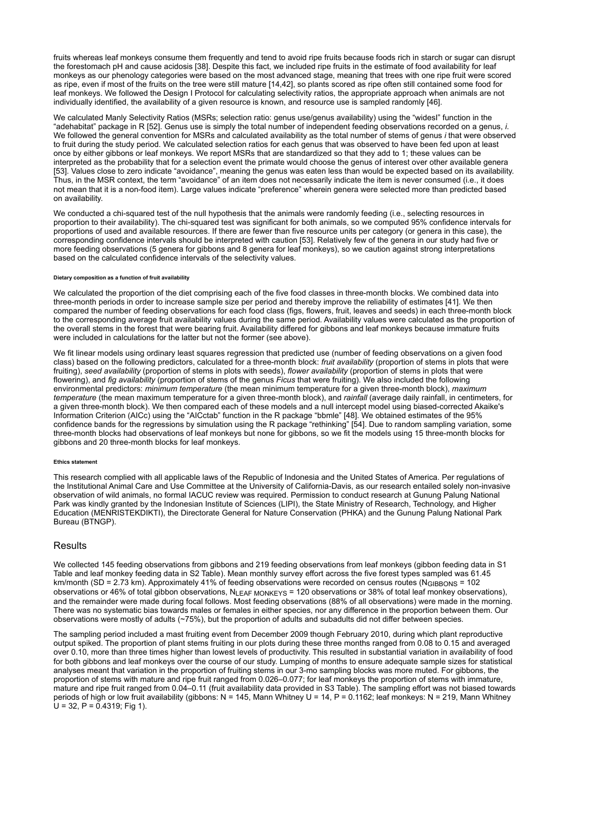fruits whereas leaf monkeys consume them frequently and tend to avoid ripe fruits because foods rich in starch or sugar can disrupt the forestomach pH and cause acidosis [[38\]](#page-12-0). Despite this fact, we included ripe fruits in the estimate of food availability for leaf monkeys as our phenology categories were based on the most advanced stage, meaning that trees with one ripe fruit were scored as ripe, even if most of the fruits on the tree were still mature [[14,](#page-10-5)[42](#page-12-4)], so plants scored as ripe often still contained some food for leaf monkeys. We followed the Design I Protocol for calculating selectivity ratios, the appropriate approach when animals are not individually identified, the availability of a given resource is known, and resource use is sampled randomly [\[46](#page-12-7)].

We calculated Manly Selectivity Ratios (MSRs; selection ratio: genus use/genus availability) using the "widesI" function in the "adehabitat" package in R [\[52](#page-12-13)]. Genus use is simply the total number of independent feeding observations recorded on a genus, *i*. We followed the general convention for MSRs and calculated availability as the total number of stems of genus *i* that were observed to fruit during the study period. We calculated selection ratios for each genus that was observed to have been fed upon at least once by either gibbons or leaf monkeys. We report MSRs that are standardized so that they add to 1; these values can be interpreted as the probability that for a selection event the primate would choose the genus of interest over other available genera [\[53](#page-12-14)]. Values close to zero indicate "avoidance", meaning the genus was eaten less than would be expected based on its availability. Thus, in the MSR context, the term "avoidance" of an item does not necessarily indicate the item is never consumed (i.e., it does not mean that it is a non-food item). Large values indicate "preference" wherein genera were selected more than predicted based on availability.

We conducted a chi-squared test of the null hypothesis that the animals were randomly feeding (i.e., selecting resources in proportion to their availability). The chi-squared test was significant for both animals, so we computed 95% confidence intervals for proportions of used and available resources. If there are fewer than five resource units per category (or genera in this case), the corresponding confidence intervals should be interpreted with caution [\[53](#page-12-14)]. Relatively few of the genera in our study had five or more feeding observations (5 genera for gibbons and 8 genera for leaf monkeys), so we caution against strong interpretations based on the calculated confidence intervals of the selectivity values.

#### **Dietary composition as a function of fruit availability**

We calculated the proportion of the diet comprising each of the five food classes in three-month blocks. We combined data into three-month periods in order to increase sample size per period and thereby improve the reliability of estimates [[41\]](#page-12-3). We then compared the number of feeding observations for each food class (figs, flowers, fruit, leaves and seeds) in each three-month block to the corresponding average fruit availability values during the same period. Availability values were calculated as the proportion of the overall stems in the forest that were bearing fruit. Availability differed for gibbons and leaf monkeys because immature fruits were included in calculations for the latter but not the former (see above).

We fit linear models using ordinary least squares regression that predicted use (number of feeding observations on a given food class) based on the following predictors, calculated for a three-month block: *fruit availability* (proportion of stems in plots that were fruiting), *seed availability* (proportion of stems in plots with seeds), *flower availability* (proportion of stems in plots that were flowering), and *fig availability* (proportion of stems of the genus *Ficus* that were fruiting). We also included the following environmental predictors: *minimum temperature* (the mean minimum temperature for a given three-month block), *maximum temperature* (the mean maximum temperature for a given three-month block), and *rainfall* (average daily rainfall, in centimeters, for a given three-month block). We then compared each of these models and a null intercept model using biased-corrected Akaike's Information Criterion (AICc) using the "AICctab" function in the R package "bbmle" [[48](#page-12-9)]. We obtained estimates of the 95% confidence bands for the regressions by simulation using the R package "rethinking" [\[54](#page-12-15)]. Due to random sampling variation, some three-month blocks had observations of leaf monkeys but none for gibbons, so we fit the models using 15 three-month blocks for gibbons and 20 three-month blocks for leaf monkeys.

#### **Ethics statement**

This research complied with all applicable laws of the Republic of Indonesia and the United States of America. Per regulations of the Institutional Animal Care and Use Committee at the University of California-Davis, as our research entailed solely non-invasive observation of wild animals, no formal IACUC review was required. Permission to conduct research at Gunung Palung National Park was kindly granted by the Indonesian Institute of Sciences (LIPI), the State Ministry of Research, Technology, and Higher Education (MENRISTEKDIKTI), the Directorate General for Nature Conservation (PHKA) and the Gunung Palung National Park Bureau (BTNGP).

# **Results**

[We collected 145 feeding observations from gibbons and 219 feeding observations from leaf monkeys \(gibbon feeding data in S1](#page-9-0) Table and leaf monkey feeding data in [S2 Table](#page-9-1)). Mean monthly survey effort across the five forest types sampled was 61.45 km/month (SD = 2.73 km). Approximately 41% of feeding observations were recorded on census routes (N $_{\rm GIBBONS}$  = 102 observations or 46% of total gibbon observations, N<sub>LEAF MONKEYS</sub> = 120 observations or 38% of total leaf monkey observations), and the remainder were made during focal follows. Most feeding observations (88% of all observations) were made in the morning. There was no systematic bias towards males or females in either species, nor any difference in the proportion between them. Our observations were mostly of adults (~75%), but the proportion of adults and subadults did not differ between species.

<span id="page-3-0"></span>The sampling period included a mast fruiting event from December 2009 though February 2010, during which plant reproductive output spiked. The proportion of plant stems fruiting in our plots during these three months ranged from 0.08 to 0.15 and averaged over 0.10, more than three times higher than lowest levels of productivity. This resulted in substantial variation in availability of food for both gibbons and leaf monkeys over the course of our study. Lumping of months to ensure adequate sample sizes for statistical analyses meant that variation in the proportion of fruiting stems in our 3-mo sampling blocks was more muted. For gibbons, the proportion of stems with mature and ripe fruit ranged from 0.026–0.077; for leaf monkeys the proportion of stems with immature, mature and ripe fruit ranged from 0.04–0.11 (fruit availability data provided in [S3 Table](#page-9-2)). The sampling effort was not biased towards periods of high or low fruit availability (gibbons: N = 145, Mann Whitney U = 14, P = 0.1162; leaf monkeys: N = 219, Mann Whitney  $U = 32$ , P = 0.4319; [Fig 1](#page-3-0)).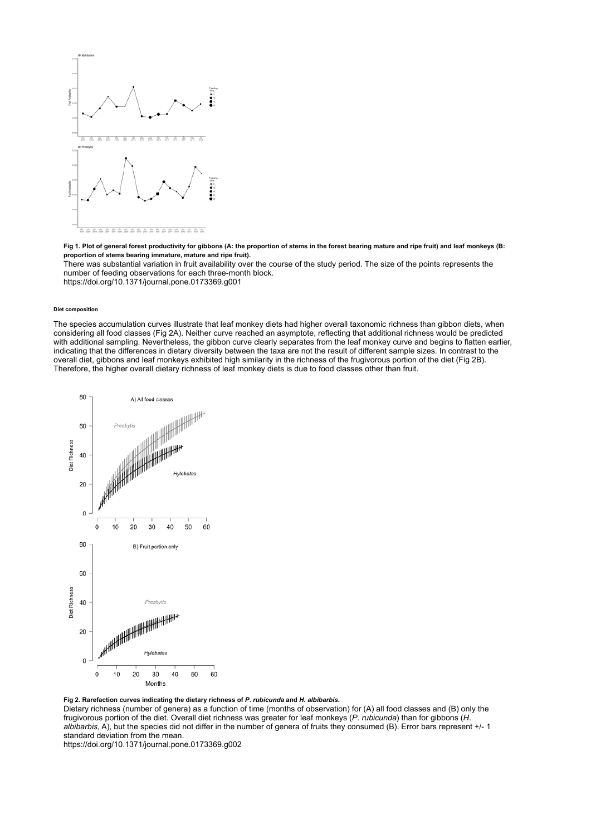

**Fig 1. Plot of general forest productivity for gibbons (A: the proportion of stems in the forest bearing mature and ripe fruit) and leaf monkeys (B: proportion of stems bearing immature, mature and ripe fruit).**

There was substantial variation in fruit availability over the course of the study period. The size of the points represents the number of feeding observations for each three-month block.

<https://doi.org/10.1371/journal.pone.0173369.g001>

# **Diet composition**

The species accumulation curves illustrate that leaf monkey diets had higher overall taxonomic richness than gibbon diets, when considering all food classes ([Fig 2A\)](#page-4-0). Neither curve reached an asymptote, reflecting that additional richness would be predicted with additional sampling. Nevertheless, the gibbon curve clearly separates from the leaf monkey curve and begins to flatten earlier, indicating that the differences in dietary diversity between the taxa are not the result of different sample sizes. In contrast to the overall diet, gibbons and leaf monkeys exhibited high similarity in the richness of the frugivorous portion of the diet ([Fig 2B](#page-4-0)). Therefore, the higher overall dietary richness of leaf monkey diets is due to food classes other than fruit.

<span id="page-4-0"></span>

**Fig 2. Rarefaction curves indicating the dietary richness of** *P***.** *rubicunda* **and** *H***.** *albibarbis***.**

Dietary richness (number of genera) as a function of time (months of observation) for (A) all food classes and (B) only the frugivorous portion of the diet. Overall diet richness was greater for leaf monkeys (*P*. *rubicunda*) than for gibbons (*H*. *albibarbis*, A), but the species did not differ in the number of genera of fruits they consumed (B). Error bars represent +/- 1 standard deviation from the mean.

<https://doi.org/10.1371/journal.pone.0173369.g002>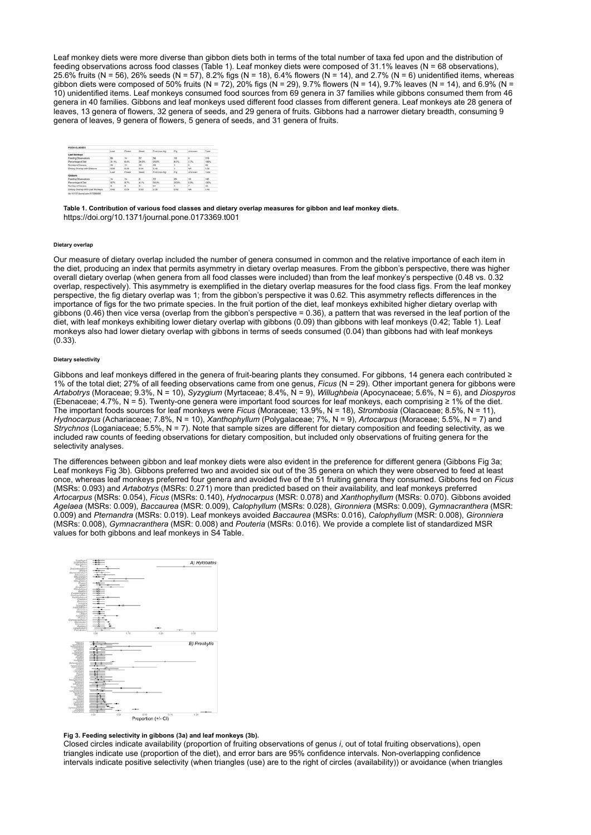Leaf monkey diets were more diverse than gibbon diets both in terms of the total number of taxa fed upon and the distribution of feeding observations across food classes [\(Table 1](#page-5-0)). Leaf monkey diets were composed of 31.1% leaves (N = 68 observations), 25.6% fruits (N = 56), 26% seeds (N = 57), 8.2% figs (N = 18), 6.4% flowers (N = 14), and 2.7% (N = 6) unidentified items, whereas gibbon diets were composed of 50% fruits (N = 72), 20% figs (N = 29), 9.7% flowers (N = 14), 9.7% leaves (N = 14), and 6.9% (N = 10) unidentified items. Leaf monkeys consumed food sources from 69 genera in 37 families while gibbons consumed them from 46 genera in 40 families. Gibbons and leaf monkeys used different food classes from different genera. Leaf monkeys ate 28 genera of leaves, 13 genera of flowers, 32 genera of seeds, and 29 genera of fruits. Gibbons had a narrower dietary breadth, consuming 9 genera of leaves, 9 genera of flowers, 5 genera of seeds, and 31 genera of fruits.

<span id="page-5-0"></span>

| FOOD CLASSES                            |       |           |       |                  |       |          |       |
|-----------------------------------------|-------|-----------|-------|------------------|-------|----------|-------|
|                                         | Leat  | Flower    | Seed  | Four (non-field  | Fig   | Linknown | Total |
| <b>Leaf Monkeys</b>                     |       |           |       |                  |       |          |       |
| Feeding Observations                    | 6h    | 14        | 57    | 56               | 18    | ë        | 219   |
| Percentage of Diet                      | 31.1% | 6.4%      | 26.0% | 25.6%            | 8.2%  | 2.7%     | 100%  |
| Number of General                       | 28    | <b>AT</b> | 30    | 29               |       | 4        | 49    |
| Distan Overlap with Gibbons             | 0.09  | 0.29      | 0.04  | 0.46             |       | NA       | 0.32  |
|                                         | Leaf  | Financ    | Seed  | Fruit (roys Red) | Fig   | Linknown | Total |
| Gibbons                                 |       |           |       |                  |       |          |       |
| Feeding Observations                    | 14    | 14        | ×     | $\overline{z}$   | 29    | 10       | 145   |
| Percentage of Diet                      | 9.7%  | 9.7%      | 4.1%  | 50.0%            | 20.0% | 6.9%     | 100%  |
| Number of Genera                        | ú.    | ä         | ś     | 31               |       |          | 44    |
| Dietary Overlap With Leaf Monkeys       | 0.42  | 0.29      | 0.33  | 0.36             | 0.62  | NA       | 0.48  |
| 4bit 10.1371 (exempt pone 0173389) 6921 |       |           |       |                  |       |          |       |

**Table 1. Contribution of various food classes and dietary overlap measures for gibbon and leaf monkey diets.** <https://doi.org/10.1371/journal.pone.0173369.t001>

#### **Dietary overlap**

Our measure of dietary overlap included the number of genera consumed in common and the relative importance of each item in the diet, producing an index that permits asymmetry in dietary overlap measures. From the gibbon's perspective, there was higher overall dietary overlap (when genera from all food classes were included) than from the leaf monkey's perspective (0.48 vs. 0.32 overlap, respectively). This asymmetry is exemplified in the dietary overlap measures for the food class figs. From the leaf monkey perspective, the fig dietary overlap was 1; from the gibbon's perspective it was 0.62. This asymmetry reflects differences in the importance of figs for the two primate species. In the fruit portion of the diet, leaf monkeys exhibited higher dietary overlap with gibbons (0.46) then vice versa (overlap from the gibbon's perspective = 0.36), a pattern that was reversed in the leaf portion of the diet, with leaf monkeys exhibiting lower dietary overlap with gibbons (0.09) than gibbons with leaf monkeys (0.42; [Table 1\)](#page-5-0). Leaf monkeys also had lower dietary overlap with gibbons in terms of seeds consumed (0.04) than gibbons had with leaf monkeys (0.33).

#### **Dietary selectivity**

Gibbons and leaf monkeys differed in the genera of fruit-bearing plants they consumed. For gibbons, 14 genera each contributed ≥ 1% of the total diet; 27% of all feeding observations came from one genus, *Ficus* (N = 29). Other important genera for gibbons were *Artabotrys* (Moraceae; 9.3%, N = 10), *Syzygium* (Myrtaceae; 8.4%, N = 9), *Willughbeia* (Apocynaceae; 5.6%, N = 6), and *Diospyros* (Ebenaceae; 4.7%, N = 5). Twenty-one genera were important food sources for leaf monkeys, each comprising ≥ 1% of the diet. The important foods sources for leaf monkeys were *Ficus* (Moraceae; 13.9%, N = 18), *Strombosia* (Olacaceae; 8.5%, N = 11), *Hydnocarpus* (Achariaceae; 7.8%, N = 10), *Xanthophyllum* (Polygalaceae; 7%, N = 9), *Artocarpus* (Moraceae; 5.5%, N = 7) and *Strychnos* (Loganiaceae; 5.5%, N = 7). Note that sample sizes are different for dietary composition and feeding selectivity, as we included raw counts of feeding observations for dietary composition, but included only observations of fruiting genera for the selectivity analyses.

The differences between gibbon and leaf monkey diets were also evident in the preference for different genera (Gibbons [Fig 3a;](#page-5-1) Leaf monkeys [Fig 3b\)](#page-5-1). Gibbons preferred two and avoided six out of the 35 genera on which they were observed to feed at least once, whereas leaf monkeys preferred four genera and avoided five of the 51 fruiting genera they consumed. Gibbons fed on *Ficus* (MSRs: 0.093) and *Artabotrys* (MSRs: 0.271) more than predicted based on their availability, and leaf monkeys preferred *Artocarpus* (MSRs: 0.054), *Ficus* (MSRs: 0.140), *Hydnocarpus* (MSR: 0.078) and *Xanthophyllum* (MSRs: 0.070). Gibbons avoided *Agelaea* (MSRs: 0.009), *Baccaurea* (MSR: 0.009), *Calophyllum* (MSRs: 0.028), *Gironniera* (MSRs: 0.009), *Gymnacranthera* (MSR: 0.009) and *Pternandra* (MSRs: 0.019). Leaf monkeys avoided *Baccaurea* (MSRs: 0.016), *Calophyllum* (MSR: 0.008), *Gironniera* (MSRs: 0.008), *Gymnacranthera* (MSR: 0.008) and *Pouteria* (MSRs: 0.016). We provide a complete list of standardized MSR values for both gibbons and leaf monkeys in [S4 Table.](#page-9-3)

<span id="page-5-1"></span>

#### **Fig 3. Feeding selectivity in gibbons (3a) and leaf monkeys (3b).**

Closed circles indicate availability (proportion of fruiting observations of genus *i*, out of total fruiting observations), open triangles indicate use (proportion of the diet), and error bars are 95% confidence intervals. Non-overlapping confidence intervals indicate positive selectivity (when triangles (use) are to the right of circles (availability)) or avoidance (when triangles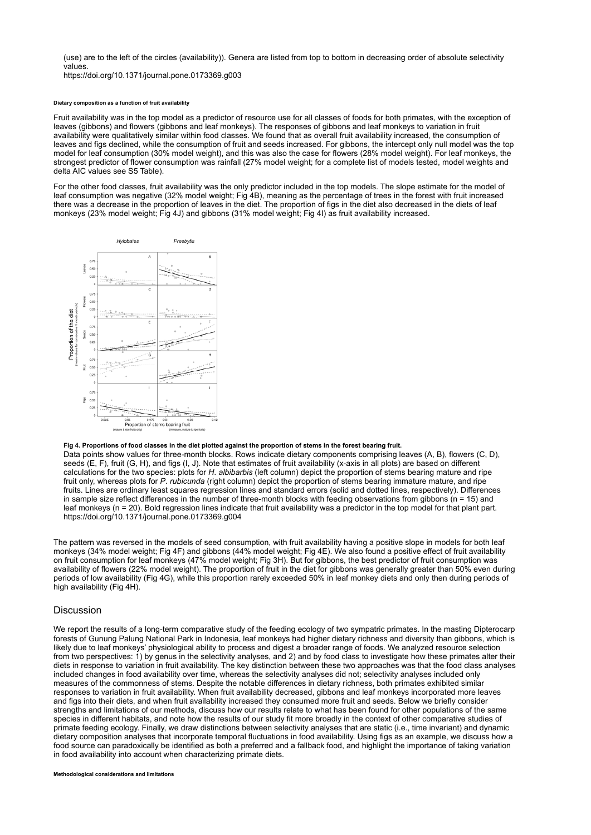(use) are to the left of the circles (availability)). Genera are listed from top to bottom in decreasing order of absolute selectivity values.

<https://doi.org/10.1371/journal.pone.0173369.g003>

#### **Dietary composition as a function of fruit availability**

Fruit availability was in the top model as a predictor of resource use for all classes of foods for both primates, with the exception of leaves (gibbons) and flowers (gibbons and leaf monkeys). The responses of gibbons and leaf monkeys to variation in fruit availability were qualitatively similar within food classes. We found that as overall fruit availability increased, the consumption of leaves and figs declined, while the consumption of fruit and seeds increased. For gibbons, the intercept only null model was the top model for leaf consumption (30% model weight), and this was also the case for flowers (28% model weight). For leaf monkeys, the strongest predictor of flower consumption was rainfall (27% model weight; for a complete list of models tested, model weights and delta AIC values see [S5 Table\)](#page-9-4).

For the other food classes, fruit availability was the only predictor included in the top models. The slope estimate for the model of leaf consumption was negative (32% model weight; [Fig 4B](#page-6-0)), meaning as the percentage of trees in the forest with fruit increased there was a decrease in the proportion of leaves in the diet. The proportion of figs in the diet also decreased in the diets of leaf monkeys (23% model weight; [Fig 4J\)](#page-6-0) and gibbons (31% model weight; [Fig 4I\)](#page-6-0) as fruit availability increased.

<span id="page-6-0"></span>

# **Fig 4. Proportions of food classes in the diet plotted against the proportion of stems in the forest bearing fruit.**

Data points show values for three-month blocks. Rows indicate dietary components comprising leaves (A, B), flowers (C, D), seeds (E, F), fruit (G, H), and figs (I, J). Note that estimates of fruit availability (x-axis in all plots) are based on different calculations for the two species: plots for *H*. *albibarbis* (left column) depict the proportion of stems bearing mature and ripe fruit only, whereas plots for *P*. *rubicunda* (right column) depict the proportion of stems bearing immature mature, and ripe fruits. Lines are ordinary least squares regression lines and standard errors (solid and dotted lines, respectively). Differences in sample size reflect differences in the number of three-month blocks with feeding observations from gibbons  $(n = 15)$  and leaf monkeys (n = 20). Bold regression lines indicate that fruit availability was a predictor in the top model for that plant part. <https://doi.org/10.1371/journal.pone.0173369.g004>

The pattern was reversed in the models of seed consumption, with fruit availability having a positive slope in models for both leaf monkeys (34% model weight; [Fig 4F\)](#page-6-0) and gibbons (44% model weight; [Fig 4E\)](#page-6-0). We also found a positive effect of fruit availability on fruit consumption for leaf monkeys (47% model weight; [Fig 3H](#page-5-1)). But for gibbons, the best predictor of fruit consumption was availability of flowers (22% model weight). The proportion of fruit in the diet for gibbons was generally greater than 50% even during periods of low availability ([Fig 4G\)](#page-6-0), while this proportion rarely exceeded 50% in leaf monkey diets and only then during periods of high availability [\(Fig 4H\)](#page-6-0).

# **Discussion**

We report the results of a long-term comparative study of the feeding ecology of two sympatric primates. In the masting Dipterocarp forests of Gunung Palung National Park in Indonesia, leaf monkeys had higher dietary richness and diversity than gibbons, which is likely due to leaf monkeys' physiological ability to process and digest a broader range of foods. We analyzed resource selection from two perspectives: 1) by genus in the selectivity analyses, and 2) and by food class to investigate how these primates alter their diets in response to variation in fruit availability. The key distinction between these two approaches was that the food class analyses included changes in food availability over time, whereas the selectivity analyses did not; selectivity analyses included only measures of the commonness of stems. Despite the notable differences in dietary richness, both primates exhibited similar responses to variation in fruit availability. When fruit availability decreased, gibbons and leaf monkeys incorporated more leaves and figs into their diets, and when fruit availability increased they consumed more fruit and seeds. Below we briefly consider strengths and limitations of our methods, discuss how our results relate to what has been found for other populations of the same species in different habitats, and note how the results of our study fit more broadly in the context of other comparative studies of primate feeding ecology. Finally, we draw distinctions between selectivity analyses that are static (i.e., time invariant) and dynamic dietary composition analyses that incorporate temporal fluctuations in food availability. Using figs as an example, we discuss how a food source can paradoxically be identified as both a preferred and a fallback food, and highlight the importance of taking variation in food availability into account when characterizing primate diets.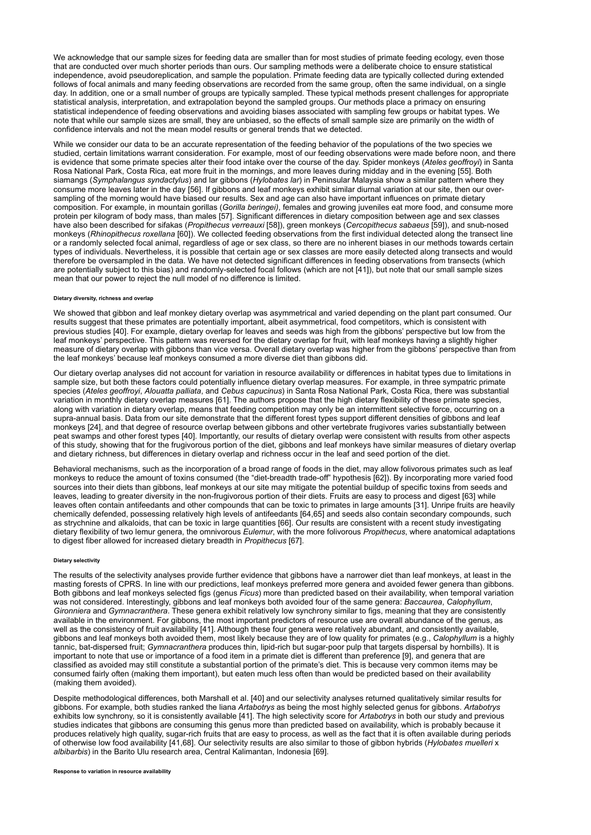We acknowledge that our sample sizes for feeding data are smaller than for most studies of primate feeding ecology, even those that are conducted over much shorter periods than ours. Our sampling methods were a deliberate choice to ensure statistical independence, avoid pseudoreplication, and sample the population. Primate feeding data are typically collected during extended follows of focal animals and many feeding observations are recorded from the same group, often the same individual, on a single day. In addition, one or a small number of groups are typically sampled. These typical methods present challenges for appropriate statistical analysis, interpretation, and extrapolation beyond the sampled groups. Our methods place a primacy on ensuring statistical independence of feeding observations and avoiding biases associated with sampling few groups or habitat types. We note that while our sample sizes are small, they are unbiased, so the effects of small sample size are primarily on the width of confidence intervals and not the mean model results or general trends that we detected.

While we consider our data to be an accurate representation of the feeding behavior of the populations of the two species we studied, certain limitations warrant consideration. For example, most of our feeding observations were made before noon, and there is evidence that some primate species alter their food intake over the course of the day. Spider monkeys (*Ateles geoffroyi*) in Santa Rosa National Park, Costa Rica, eat more fruit in the mornings, and more leaves during midday and in the evening [\[55](#page-12-16)]. Both siamangs (*Symphalangus syndactylus*) and lar gibbons (*Hylobates lar*) in Peninsular Malaysia show a similar pattern where they consume more leaves later in the day [[56\]](#page-12-17). If gibbons and leaf monkeys exhibit similar diurnal variation at our site, then our oversampling of the morning would have biased our results. Sex and age can also have important influences on primate dietary composition. For example, in mountain gorillas (*Gorilla beringei)*, females and growing juveniles eat more food, and consume more protein per kilogram of body mass, than males [[57\]](#page-12-18). Significant differences in dietary composition between age and sex classes have also been described for sifakas (*Propithecus verreauxi* [[58\]](#page-12-19)), green monkeys (*Cercopithecus sabaeus* [[59\]](#page-12-20)), and snub-nosed monkeys (*Rhinopithecus roxellana* [[60\]](#page-13-0)). We collected feeding observations from the first individual detected along the transect line or a randomly selected focal animal, regardless of age or sex class, so there are no inherent biases in our methods towards certain types of individuals. Nevertheless, it is possible that certain age or sex classes are more easily detected along transects and would therefore be oversampled in the data. We have not detected significant differences in feeding observations from transects (which are potentially subject to this bias) and randomly-selected focal follows (which are not [[41\]](#page-12-3)), but note that our small sample sizes mean that our power to reject the null model of no difference is limited.

# **Dietary diversity, richness and overlap**

We showed that gibbon and leaf monkey dietary overlap was asymmetrical and varied depending on the plant part consumed. Our results suggest that these primates are potentially important, albeit asymmetrical, food competitors, which is consistent with previous studies [[40](#page-12-2)]. For example, dietary overlap for leaves and seeds was high from the gibbons' perspective but low from the leaf monkeys' perspective. This pattern was reversed for the dietary overlap for fruit, with leaf monkeys having a slightly higher measure of dietary overlap with gibbons than vice versa. Overall dietary overlap was higher from the gibbons' perspective than from the leaf monkeys' because leaf monkeys consumed a more diverse diet than gibbons did.

Our dietary overlap analyses did not account for variation in resource availability or differences in habitat types due to limitations in sample size, but both these factors could potentially influence dietary overlap measures. For example, in three sympatric primate species (*Ateles geoffroyi*, *Alouatta palliata*, and *Cebus capucinus*) in Santa Rosa National Park, Costa Rica, there was substantial variation in monthly dietary overlap measures [[61\]](#page-13-1). The authors propose that the high dietary flexibility of these primate species, along with variation in dietary overlap, means that feeding competition may only be an intermittent selective force, occurring on a supra-annual basis. Data from our site demonstrate that the different forest types support different densities of gibbons and leaf monkeys [[24\]](#page-11-6), and that degree of resource overlap between gibbons and other vertebrate frugivores varies substantially between peat swamps and other forest types [\[40](#page-12-2)]. Importantly, our results of dietary overlap were consistent with results from other aspects of this study, showing that for the frugivorous portion of the diet, gibbons and leaf monkeys have similar measures of dietary overlap and dietary richness, but differences in dietary overlap and richness occur in the leaf and seed portion of the diet.

Behavioral mechanisms, such as the incorporation of a broad range of foods in the diet, may allow folivorous primates such as leaf monkeys to reduce the amount of toxins consumed (the "diet-breadth trade-off" hypothesis [\[62](#page-13-2)]). By incorporating more varied food sources into their diets than gibbons, leaf monkeys at our site may mitigate the potential buildup of specific toxins from seeds and leaves, leading to greater diversity in the non-frugivorous portion of their diets. Fruits are easy to process and digest [[63\]](#page-13-3) while leaves often contain antifeedants and other compounds that can be toxic to primates in large amounts [[31\]](#page-11-16). Unripe fruits are heavily chemically defended, possessing relatively high levels of antifeedants [[64,](#page-13-4)[65\]](#page-13-5) and seeds also contain secondary compounds, such as strychnine and alkaloids, that can be toxic in large quantities [\[66](#page-13-6)]. Our results are consistent with a recent study investigating dietary flexibility of two lemur genera, the omnivorous *Eulemur*, with the more folivorous *Propithecus*, where anatomical adaptations to digest fiber allowed for increased dietary breadth in *Propithecus* [\[67\]](#page-13-7).

### **Dietary selectivity**

The results of the selectivity analyses provide further evidence that gibbons have a narrower diet than leaf monkeys, at least in the masting forests of CPRS. In line with our predictions, leaf monkeys preferred more genera and avoided fewer genera than gibbons. Both gibbons and leaf monkeys selected figs (genus *Ficus*) more than predicted based on their availability, when temporal variation was not considered. Interestingly, gibbons and leaf monkeys both avoided four of the same genera: *Baccaurea*, *Calophyllum*, *Gironniera* and *Gymnacranthera*. These genera exhibit relatively low synchrony similar to figs, meaning that they are consistently available in the environment. For gibbons, the most important predictors of resource use are overall abundance of the genus, as well as the consistency of fruit availability [[41\]](#page-12-3). Although these four genera were relatively abundant, and consistently available, gibbons and leaf monkeys both avoided them, most likely because they are of low quality for primates (e.g., *Calophyllum* is a highly tannic, bat-dispersed fruit; *Gymnacranthera* produces thin, lipid-rich but sugar-poor pulp that targets dispersal by hornbills). It is important to note that use or importance of a food item in a primate diet is different than preference [[9](#page-10-1)], and genera that are classified as avoided may still constitute a substantial portion of the primate's diet. This is because very common items may be consumed fairly often (making them important), but eaten much less often than would be predicted based on their availability (making them avoided).

Despite methodological differences, both Marshall et al. [[40\]](#page-12-2) and our selectivity analyses returned qualitatively similar results for gibbons. For example, both studies ranked the liana *Artabotrys* as being the most highly selected genus for gibbons. *Artabotrys* exhibits low synchrony, so it is consistently available [[41\]](#page-12-3). The high selectivity score for *Artabotrys* in both our study and previous studies indicates that gibbons are consuming this genus more than predicted based on availability, which is probably because it produces relatively high quality, sugar-rich fruits that are easy to process, as well as the fact that it is often available during periods of otherwise low food availability [[41,](#page-12-3)[68\]](#page-13-8). Our selectivity results are also similar to those of gibbon hybrids (*Hylobates muelleri* x *albibarbis*) in the Barito Ulu research area, Central Kalimantan, Indonesia [[69\]](#page-13-9).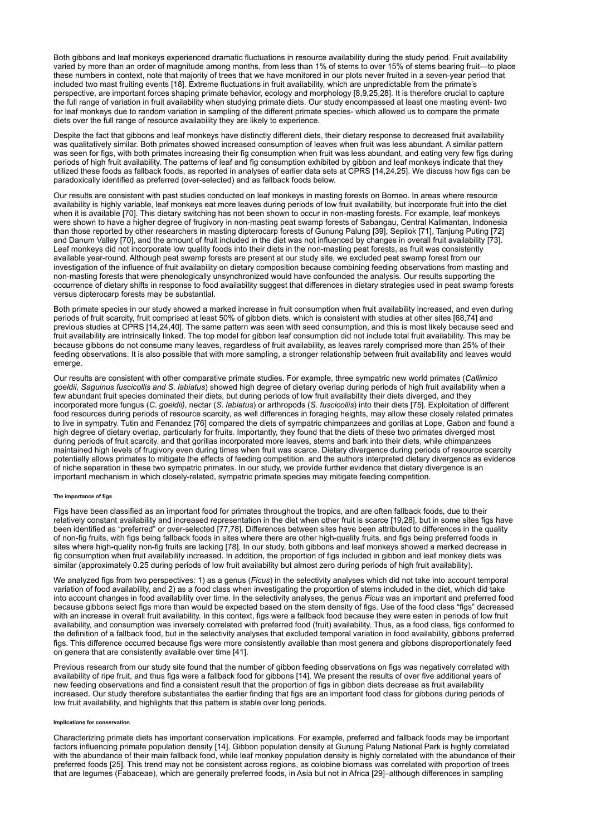Both gibbons and leaf monkeys experienced dramatic fluctuations in resource availability during the study period. Fruit availability varied by more than an order of magnitude among months, from less than 1% of stems to over 15% of stems bearing fruit—to place these numbers in context, note that majority of trees that we have monitored in our plots never fruited in a seven-year period that included two mast fruiting events [[18\]](#page-11-2). Extreme fluctuations in fruit availability, which are unpredictable from the primate's perspective, are important forces shaping primate behavior, ecology and morphology [\[8](#page-10-8)[,9,](#page-10-1)[25,](#page-11-7)[28\]](#page-11-8). It is therefore crucial to capture the full range of variation in fruit availability when studying primate diets. Our study encompassed at least one masting event- two for leaf monkeys due to random variation in sampling of the different primate species- which allowed us to compare the primate diets over the full range of resource availability they are likely to experience.

Despite the fact that gibbons and leaf monkeys have distinctly different diets, their dietary response to decreased fruit availability was qualitatively similar. Both primates showed increased consumption of leaves when fruit was less abundant. A similar pattern was seen for figs, with both primates increasing their fig consumption when fruit was less abundant, and eating very few figs during periods of high fruit availability. The patterns of leaf and fig consumption exhibited by gibbon and leaf monkeys indicate that they utilized these foods as fallback foods, as reported in analyses of earlier data sets at CPRS [[14](#page-10-5),[24,](#page-11-6)[25\]](#page-11-7). We discuss how figs can be paradoxically identified as preferred (over-selected) and as fallback foods below.

Our results are consistent with past studies conducted on leaf monkeys in masting forests on Borneo. In areas where resource availability is highly variable, leaf monkeys eat more leaves during periods of low fruit availability, but incorporate fruit into the diet when it is available [[70\]](#page-13-10). This dietary switching has not been shown to occur in non-masting forests. For example, leaf monkeys were shown to have a higher degree of frugivory in non-masting peat swamp forests of Sabangau, Central Kalimantan, Indonesia than those reported by other researchers in masting dipterocarp forests of Gunung Palung [[39](#page-12-1)], Sepilok [[71\]](#page-13-11), Tanjung Puting [[72\]](#page-13-12) and Danum Valley [\[70](#page-13-10)], and the amount of fruit included in the diet was not influenced by changes in overall fruit availability [[73](#page-13-13)]. Leaf monkeys did not incorporate low quality foods into their diets in the non-masting peat forests, as fruit was consistently available year-round. Although peat swamp forests are present at our study site, we excluded peat swamp forest from our investigation of the influence of fruit availability on dietary composition because combining feeding observations from masting and non-masting forests that were phenologically unsynchronized would have confounded the analysis. Our results supporting the occurrence of dietary shifts in response to food availability suggest that differences in dietary strategies used in peat swamp forests versus dipterocarp forests may be substantial.

Both primate species in our study showed a marked increase in fruit consumption when fruit availability increased, and even during periods of fruit scarcity, fruit comprised at least 50% of gibbon diets, which is consistent with studies at other sites [[68,](#page-13-8)[74\]](#page-13-14) and previous studies at CPRS [[14,](#page-10-5)[24,](#page-11-6)[40\]](#page-12-2). The same pattern was seen with seed consumption, and this is most likely because seed and fruit availability are intrinsically linked. The top model for gibbon leaf consumption did not include total fruit availability. This may be because gibbons do not consume many leaves, regardless of fruit availability, as leaves rarely comprised more than 25% of their feeding observations. It is also possible that with more sampling, a stronger relationship between fruit availability and leaves would emerge.

Our results are consistent with other comparative primate studies. For example, three sympatric new world primates (*Callimico goeldii*, *Saguinus fuscicollis and S*. *labiatus*) showed high degree of dietary overlap during periods of high fruit availability when a few abundant fruit species dominated their diets, but during periods of low fruit availability their diets diverged, and they incorporated more fungus (*C*. *goeldii)*, nectar (*S*. *labiatus*) or arthropods (*S*. *fuscicollis*) into their diets [[75\]](#page-13-15). Exploitation of different food resources during periods of resource scarcity, as well differences in foraging heights, may allow these closely related primates to live in sympatry. Tutin and Fenandez [\[76](#page-13-16)] compared the diets of sympatric chimpanzees and gorillas at Lope, Gabon and found a high degree of dietary overlap, particularly for fruits. Importantly, they found that the diets of these two primates diverged most during periods of fruit scarcity, and that gorillas incorporated more leaves, stems and bark into their diets, while chimpanzees maintained high levels of frugivory even during times when fruit was scarce. Dietary divergence during periods of resource scarcity potentially allows primates to mitigate the effects of feeding competition, and the authors interpreted dietary divergence as evidence of niche separation in these two sympatric primates. In our study, we provide further evidence that dietary divergence is an important mechanism in which closely-related, sympatric primate species may mitigate feeding competition.

#### **The importance of figs**

Figs have been classified as an important food for primates throughout the tropics, and are often fallback foods, due to their relatively constant availability and increased representation in the diet when other fruit is scarce [[19,](#page-11-1)[28\]](#page-11-8), but in some sites figs have been identified as "preferred" or over-selected [[77,](#page-13-17)[78\]](#page-13-18). Differences between sites have been attributed to differences in the quality of non-fig fruits, with figs being fallback foods in sites where there are other high-quality fruits, and figs being preferred foods in sites where high-quality non-fig fruits are lacking [\[78](#page-13-18)]. In our study, both gibbons and leaf monkeys showed a marked decrease in fig consumption when fruit availability increased. In addition, the proportion of figs included in gibbon and leaf monkey diets was similar (approximately 0.25 during periods of low fruit availability but almost zero during periods of high fruit availability).

We analyzed figs from two perspectives: 1) as a genus (*Ficus*) in the selectivity analyses which did not take into account temporal variation of food availability, and 2) as a food class when investigating the proportion of stems included in the diet, which did take into account changes in food availability over time. In the selectivity analyses, the genus *Ficus* was an important and preferred food because gibbons select figs more than would be expected based on the stem density of figs. Use of the food class "figs" decreased with an increase in overall fruit availability. In this context, figs were a fallback food because they were eaten in periods of low fruit availability, and consumption was inversely correlated with preferred food (fruit) availability. Thus, as a food class, figs conformed to the definition of a fallback food, but in the selectivity analyses that excluded temporal variation in food availability, gibbons preferred figs. This difference occurred because figs were more consistently available than most genera and gibbons disproportionately feed on genera that are consistently available over time [[41\]](#page-12-3).

Previous research from our study site found that the number of gibbon feeding observations on figs was negatively correlated with availability of ripe fruit, and thus figs were a fallback food for gibbons [[14\]](#page-10-5). We present the results of over five additional years of new feeding observations and find a consistent result that the proportion of figs in gibbon diets decrease as fruit availability increased. Our study therefore substantiates the earlier finding that figs are an important food class for gibbons during periods of low fruit availability, and highlights that this pattern is stable over long periods.

#### **Implications for conservation**

Characterizing primate diets has important conservation implications. For example, preferred and fallback foods may be important factors influencing primate population density [[14\]](#page-10-5). Gibbon population density at Gunung Palung National Park is highly correlated with the abundance of their main fallback food, while leaf monkey population density is highly correlated with the abundance of their preferred foods [[25\]](#page-11-7). This trend may not be consistent across regions, as colobine biomass was correlated with proportion of trees that are legumes (Fabaceae), which are generally preferred foods, in Asia but not in Africa [[29\]](#page-11-9)–although differences in sampling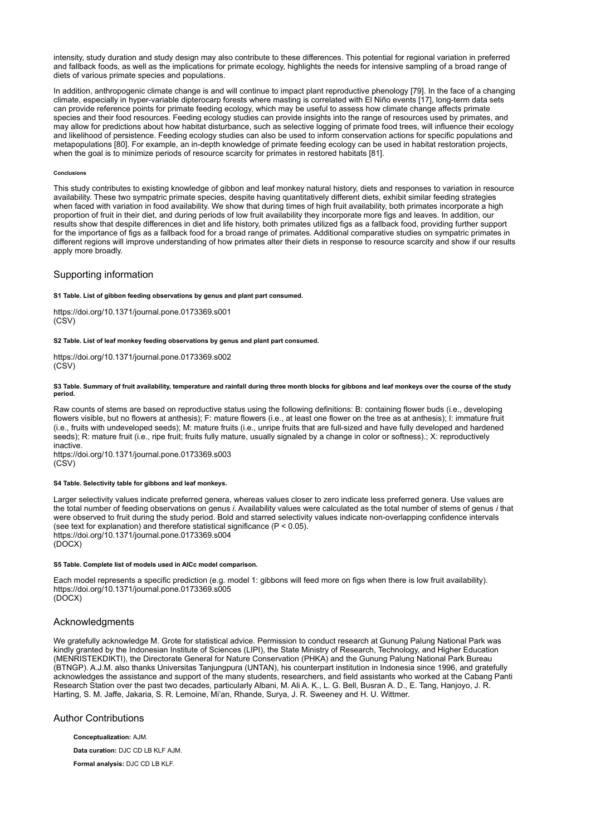intensity, study duration and study design may also contribute to these differences. This potential for regional variation in preferred and fallback foods, as well as the implications for primate ecology, highlights the needs for intensive sampling of a broad range of diets of various primate species and populations.

In addition, anthropogenic climate change is and will continue to impact plant reproductive phenology [[79\]](#page-13-19). In the face of a changing climate, especially in hyper-variable dipterocarp forests where masting is correlated with El Niño events [[17\]](#page-10-7), long-term data sets can provide reference points for primate feeding ecology, which may be useful to assess how climate change affects primate species and their food resources. Feeding ecology studies can provide insights into the range of resources used by primates, and may allow for predictions about how habitat disturbance, such as selective logging of primate food trees, will influence their ecology and likelihood of persistence. Feeding ecology studies can also be used to inform conservation actions for specific populations and metapopulations [\[80](#page-13-20)]. For example, an in-depth knowledge of primate feeding ecology can be used in habitat restoration projects, when the goal is to minimize periods of resource scarcity for primates in restored habitats [[81\]](#page-14-0).

#### **Conclusions**

This study contributes to existing knowledge of gibbon and leaf monkey natural history, diets and responses to variation in resource availability. These two sympatric primate species, despite having quantitatively different diets, exhibit similar feeding strategies when faced with variation in food availability. We show that during times of high fruit availability, both primates incorporate a high proportion of fruit in their diet, and during periods of low fruit availability they incorporate more figs and leaves. In addition, our results show that despite differences in diet and life history, both primates utilized figs as a fallback food, providing further support for the importance of figs as a fallback food for a broad range of primates. Additional comparative studies on sympatric primates in different regions will improve understanding of how primates alter their diets in response to resource scarcity and show if our results apply more broadly.

# Supporting information

#### <span id="page-9-0"></span>**[S1 Table. L](https://journals.plos.org/plosone/article/file?type=supplementary&id=info:doi/10.1371/journal.pone.0173369.s001)ist of gibbon feeding observations by genus and plant part consumed.**

<https://doi.org/10.1371/journal.pone.0173369.s001> (CSV)

#### <span id="page-9-1"></span>**[S2 Table. L](https://journals.plos.org/plosone/article/file?type=supplementary&id=info:doi/10.1371/journal.pone.0173369.s002)ist of leaf monkey feeding observations by genus and plant part consumed.**

<https://doi.org/10.1371/journal.pone.0173369.s002> (CSV)

#### <span id="page-9-2"></span>**[S3 Table. S](https://journals.plos.org/plosone/article/file?type=supplementary&id=info:doi/10.1371/journal.pone.0173369.s003)ummary of fruit availability, temperature and rainfall during three month blocks for gibbons and leaf monkeys over the course of the study period.**

Raw counts of stems are based on reproductive status using the following definitions: B: containing flower buds (i.e., developing flowers visible, but no flowers at anthesis); F: mature flowers (i.e., at least one flower on the tree as at anthesis); I: immature fruit (i.e., fruits with undeveloped seeds); M: mature fruits (i.e., unripe fruits that are full-sized and have fully developed and hardened seeds); R: mature fruit (i.e., ripe fruit; fruits fully mature, usually signaled by a change in color or softness).; X: reproductively inactive.

<https://doi.org/10.1371/journal.pone.0173369.s003> (CSV)

# <span id="page-9-3"></span>**[S4 Table. S](https://journals.plos.org/plosone/article/file?type=supplementary&id=info:doi/10.1371/journal.pone.0173369.s004)electivity table for gibbons and leaf monkeys.**

Larger selectivity values indicate preferred genera, whereas values closer to zero indicate less preferred genera. Use values are the total number of feeding observations on genus *i*. Availability values were calculated as the total number of stems of genus *i* that were observed to fruit during the study period. Bold and starred selectivity values indicate non-overlapping confidence intervals (see text for explanation) and therefore statistical significance (P < 0.05). <https://doi.org/10.1371/journal.pone.0173369.s004> (DOCX)

#### <span id="page-9-4"></span>**[S5 Table. C](https://journals.plos.org/plosone/article/file?type=supplementary&id=info:doi/10.1371/journal.pone.0173369.s005)omplete list of models used in AICc model comparison.**

Each model represents a specific prediction (e.g. model 1: gibbons will feed more on figs when there is low fruit availability). <https://doi.org/10.1371/journal.pone.0173369.s005> (DOCX)

# Acknowledgments

We gratefully acknowledge M. Grote for statistical advice. Permission to conduct research at Gunung Palung National Park was kindly granted by the Indonesian Institute of Sciences (LIPI), the State Ministry of Research, Technology, and Higher Education (MENRISTEKDIKTI), the Directorate General for Nature Conservation (PHKA) and the Gunung Palung National Park Bureau (BTNGP). A.J.M. also thanks Universitas Tanjungpura (UNTAN), his counterpart institution in Indonesia since 1996, and gratefully acknowledges the assistance and support of the many students, researchers, and field assistants who worked at the Cabang Panti Research Station over the past two decades, particularly Albani, M. Ali A. K., L. G. Bell, Busran A. D., E. Tang, Hanjoyo, J. R. Harting, S. M. Jaffe, Jakaria, S. R. Lemoine, Mi'an, Rhande, Surya, J. R. Sweeney and H. U. Wittmer.

# Author Contributions

**Conceptualization:** AJM.

**Data curation:** DJC CD LB KLF AJM.

**Formal analysis:** DJC CD LB KLF.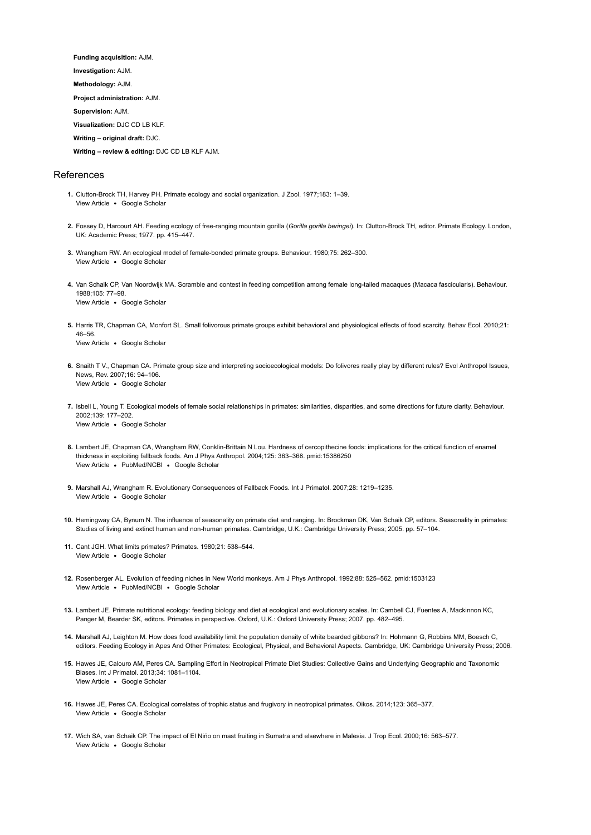**Funding acquisition:** AJM. **Investigation:** AJM. **Methodology:** AJM. **Project administration:** AJM. **Supervision:** AJM. **Visualization:** DJC CD LB KLF. **Writing – original draft:** DJC. **Writing – review & editing:** DJC CD LB KLF AJM.

# References

- <span id="page-10-0"></span>**1.** Clutton-Brock TH, Harvey PH. Primate ecology and social organization. J Zool. 1977;183: 1–39. View Article . [Google Scholar](http://scholar.google.com/scholar?q=Primate+ecology+and+social+organization+Clutton-Brock+1977)
- **2.** Fossey D, Harcourt AH. Feeding ecology of free-ranging mountain gorilla (*Gorilla gorilla beringei*). In: Clutton-Brock TH, editor. Primate Ecology. London, UK: Academic Press; 1977. pp. 415–447.
- **3.** Wrangham RW. An ecological model of female-bonded primate groups. Behaviour. 1980;75: 262–300. View Article . [Google Scholar](http://scholar.google.com/scholar?q=An+ecological+model+of+female-bonded+primate+groups+Wrangham+1980)
- **4.** Van Schaik CP, Van Noordwijk MA. Scramble and contest in feeding competition among female long-tailed macaques (Macaca fascicularis). Behaviour. View Article . [Google Scholar](http://scholar.google.com/scholar?q=Scramble+and+contest+in+feeding+competition+among+female+long-tailed+macaques+%28Macaca+fascicularis%29+Van+Schaik+1988) 1988;105: 77–98.
- **5.** Harris TR, Chapman CA, Monfort SL. Small folivorous primate groups exhibit behavioral and physiological effects of food scarcity. Behav Ecol. 2010;21: View Article . [Google Scholar](http://scholar.google.com/scholar?q=Small+folivorous+primate+groups+exhibit+behavioral+and+physiological+effects+of+food+scarcity+Harris+2010) 46–56.
- **6.** Snaith T V., Chapman CA. Primate group size and interpreting socioecological models: Do folivores really play by different rules? Evol Anthropol Issues, View Article . [Google Scholar](http://scholar.google.com/scholar?q=Primate+group+size+and+interpreting+socioecological+models%3A+Do+folivores+really+play+by+different+rules%3F+Snaith+2007) News, Rev. 2007;16: 94–106.
- **7.** Isbell L, Young T. Ecological models of female social relationships in primates: similarities, disparities, and some directions for future clarity. Behaviour. View Article . [Google Scholar](http://scholar.google.com/scholar?q=Ecological+models+of+female+social+relationships+in+primates%3A+similarities%2C+disparities%2C+and+some+directions+for+future+clarity+Isbell+2002) 2002;139: 177–202.
- <span id="page-10-8"></span>**8.** Lambert JE, Chapman CA, Wrangham RW, Conklin-Brittain N Lou. Hardness of cercopithecine foods: implications for the critical function of enamel [View Article](https://doi.org/10.1002/ajpa.10403) · [PubMed/NCBI](http://www.ncbi.nlm.nih.gov/pubmed/15386250) · [Google Scholar](http://scholar.google.com/scholar?q=Hardness+of+cercopithecine+foods%3A+implications+for+the+critical+function+of+enamel+thickness+in+exploiting+fallback+foods+Lambert+2004) thickness in exploiting fallback foods. Am J Phys Anthropol. 2004;125: 363–368. pmid:15386250
- <span id="page-10-1"></span>**9.** Marshall AJ, Wrangham R. Evolutionary Consequences of Fallback Foods. Int J Primatol. 2007;28: 1219–1235. View Article . [Google Scholar](http://scholar.google.com/scholar?q=Evolutionary+Consequences+of+Fallback+Foods+Marshall+2007)
- <span id="page-10-2"></span>**10.** Hemingway CA, Bynum N. The influence of seasonality on primate diet and ranging. In: Brockman DK, Van Schaik CP, editors. Seasonality in primates: Studies of living and extinct human and non-human primates. Cambridge, U.K.: Cambridge University Press; 2005. pp. 57–104.
- <span id="page-10-3"></span>**11.** Cant JGH. What limits primates? Primates. 1980;21: 538–544. View Article . [Google Scholar](http://scholar.google.com/scholar?q=What+limits+primates%3F+Cant+1980)
- **12.** Rosenberger AL. Evolution of feeding niches in New World monkeys. Am J Phys Anthropol. 1992;88: 525–562. pmid:1503123 [View Article](https://doi.org/10.1002/ajpa.1330880408) · [PubMed/NCBI](http://www.ncbi.nlm.nih.gov/pubmed/1503123) · [Google Scholar](http://scholar.google.com/scholar?q=Evolution+of+feeding+niches+in+New+World+monkeys+Rosenberger+1992)
- <span id="page-10-4"></span>**13.** Lambert JE. Primate nutritional ecology: feeding biology and diet at ecological and evolutionary scales. In: Cambell CJ, Fuentes A, Mackinnon KC, Panger M, Bearder SK, editors. Primates in perspective. Oxford, U.K.: Oxford University Press; 2007. pp. 482–495.
- <span id="page-10-5"></span>**14.** Marshall AJ, Leighton M. How does food availability limit the population density of white bearded gibbons? In: Hohmann G, Robbins MM, Boesch C, editors. Feeding Ecology in Apes And Other Primates: Ecological, Physical, and Behavioral Aspects. Cambridge, UK: Cambridge University Press; 2006.
- **15.** Hawes JE, Calouro AM, Peres CA. Sampling Effort in Neotropical Primate Diet Studies: Collective Gains and Underlying Geographic and Taxonomic View Article . [Google Scholar](http://scholar.google.com/scholar?q=Sampling+Effort+in+Neotropical+Primate+Diet+Studies%3A+Collective+Gains+and+Underlying+Geographic+and+Taxonomic+Biases+Hawes+2013) Biases. Int J Primatol. 2013;34: 1081–1104.
- <span id="page-10-6"></span>**16.** Hawes JE, Peres CA. Ecological correlates of trophic status and frugivory in neotropical primates. Oikos. 2014;123: 365–377. View Article . [Google Scholar](http://scholar.google.com/scholar?q=Ecological+correlates+of+trophic+status+and+frugivory+in+neotropical+primates+Hawes+2014)
- <span id="page-10-7"></span>**17.** Wich SA, van Schaik CP. The impact of El Niño on mast fruiting in Sumatra and elsewhere in Malesia. J Trop Ecol. 2000;16: 563–577.View Article . [Google Scholar](http://scholar.google.com/scholar?q=The+impact+of+El+Ni%C3%B1o+on+mast+fruiting+in+Sumatra+and+elsewhere+in+Malesia+Wich+2000)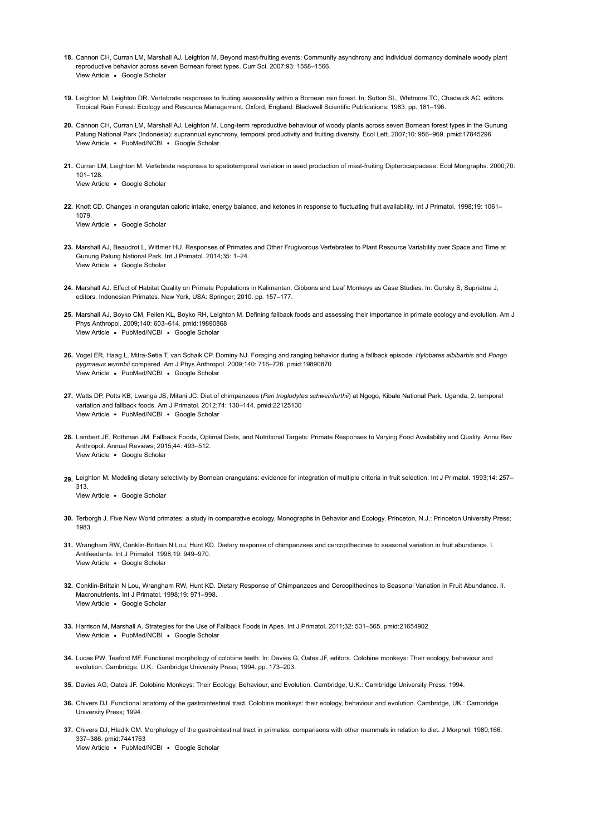- <span id="page-11-2"></span>**18.** Cannon CH, Curran LM, Marshall AJ, Leighton M. Beyond mast-fruiting events: Community asynchrony and individual dormancy dominate woody plant View Article . [Google Scholar](http://scholar.google.com/scholar?q=Beyond+mast-fruiting+events%3A+Community+asynchrony+and+individual+dormancy+dominate+woody+plant+reproductive+behavior+across+seven+Bornean+forest+types+Cannon+2007) reproductive behavior across seven Bornean forest types. Curr Sci. 2007;93: 1558–1566.
- <span id="page-11-1"></span>**19.** Leighton M, Leighton DR. Vertebrate responses to fruiting seasonality within a Bornean rain forest. In: Sutton SL, Whitmore TC, Chadwick AC, editors. Tropical Rain Forest: Ecology and Resource Management. Oxford, England: Blackwell Scientific Publications; 1983. pp. 181–196.
- <span id="page-11-0"></span>**20.** Cannon CH, Curran LM, Marshall AJ, Leighton M. Long-term reproductive behaviour of woody plants across seven Bornean forest types in the Gunung [View Article](https://doi.org/10.1111/j.1461-0248.2007.01089.x) . [PubMed/NCBI](http://www.ncbi.nlm.nih.gov/pubmed/17845296) . [Google Scholar](http://scholar.google.com/scholar?q=Long-term+reproductive+behaviour+of+woody+plants+across+seven+Bornean+forest+types+in+the+Gunung+Palung+National+Park+%28Indonesia%29%3A+suprannual+synchrony%2C+temporal+productivity+and+fruiting+diversity+Cannon+2007) Palung National Park (Indonesia): suprannual synchrony, temporal productivity and fruiting diversity. Ecol Lett. 2007;10: 956–969. pmid:17845296
- <span id="page-11-3"></span>**21.** Curran LM, Leighton M. Vertebrate responses to spatiotemporal variation in seed production of mast-fruiting Dipterocarpaceae. Ecol Mongraphs. 2000;70: View Article · [Google Scholar](http://scholar.google.com/scholar?q=Vertebrate+responses+to+spatiotemporal+variation+in+seed+production+of+mast-fruiting+Dipterocarpaceae+Curran+2000) 101–128.
- <span id="page-11-4"></span>**22.** Knott CD. Changes in orangutan caloric intake, energy balance, and ketones in response to fluctuating fruit availability. Int J Primatol. 1998;19: 1061– View Article . [Google Scholar](http://scholar.google.com/scholar?q=Changes+in+orangutan+caloric+intake%2C+energy+balance%2C+and+ketones+in+response+to+fluctuating+fruit+availability+Knott+1998) 1079.
- <span id="page-11-5"></span>**23.** Marshall AJ, Beaudrot L, Wittmer HU. Responses of Primates and Other Frugivorous Vertebrates to Plant Resource Variability over Space and Time at View Article . [Google Scholar](http://scholar.google.com/scholar?q=Responses+of+Primates+and+Other+Frugivorous+Vertebrates+to+Plant+Resource+Variability+over+Space+and+Time+at+Gunung+Palung+National+Park+Marshall+2014) Gunung Palung National Park. Int J Primatol. 2014;35: 1–24.
- <span id="page-11-6"></span>**24.** Marshall AJ. Effect of Habitat Quality on Primate Populations in Kalimantan: Gibbons and Leaf Monkeys as Case Studies. In: Gursky S, Supriatna J, editors. Indonesian Primates. New York, USA: Springer; 2010. pp. 157–177.
- <span id="page-11-7"></span>**25.** Marshall AJ, Boyko CM, Feilen KL, Boyko RH, Leighton M. Defining fallback foods and assessing their importance in primate ecology and evolution. Am J [View Article](https://doi.org/10.1002/ajpa.21082) · [PubMed/NCBI](http://www.ncbi.nlm.nih.gov/pubmed/19890868) · [Google Scholar](http://scholar.google.com/scholar?q=Defining+fallback+foods+and+assessing+their+importance+in+primate+ecology+and+evolution+Marshall+2009) Phys Anthropol. 2009;140: 603–614. pmid:19890868
- **26.** Vogel ER, Haag L, Mitra-Setia T, van Schaik CP, Dominy NJ. Foraging and ranging behavior during a fallback episode: *Hylobates albibarbis* and *Pongo* [View Article](https://doi.org/10.1002/ajpa.21119) • [PubMed/NCBI](http://www.ncbi.nlm.nih.gov/pubmed/19890870) • [Google Scholar](http://scholar.google.com/scholar?q=Foraging+and+ranging+behavior+during+a+fallback+episode%3A+Hylobates+albibarbis+and+Pongo+pygmaeus+wurmbii+compared+Vogel+2009) *pygmaeus wurmbii* compared. Am J Phys Anthropol. 2009;140: 716–726. pmid:19890870
- **27.** Watts DP, Potts KB, Lwanga JS, Mitani JC. Diet of chimpanzees (*Pan troglodytes schweinfurthii*) at Ngogo, Kibale National Park, Uganda, 2. temporal View Article · [PubMed/NCBI](http://www.ncbi.nlm.nih.gov/pubmed/22125130) · [Google Scholar](http://scholar.google.com/scholar?q=Diet+of+chimpanzees+%28Pan+troglodytes+schweinfurthii%29+at+Ngogo%2C+Kibale+National+Park%2C+Uganda%2C+2.+temporal+variation+and+fallback+foods+Watts+2012) variation and fallback foods. Am J Primatol. 2012;74: 130–144. pmid:22125130
- <span id="page-11-8"></span>**28.** Lambert JE, Rothman JM. Fallback Foods, Optimal Diets, and Nutritional Targets: Primate Responses to Varying Food Availability and Quality. Annu Rev View Article . [Google Scholar](http://scholar.google.com/scholar?q=Fallback+Foods%2C+Optimal+Diets%2C+and+Nutritional+Targets%3A+Primate+Responses+to+Varying+Food+Availability+and+Quality.+Annu+Rev+Anthropol+Lambert+2015) Anthropol. Annual Reviews; 2015;44: 493–512.
- <span id="page-11-9"></span>**29.** Leighton M. Modeling dietary selectivity by Bornean orangutans: evidence for integration of multiple criteria in fruit selection. Int J Primatol. 1993;14: 257– 313.
	- View Article . [Google Scholar](http://scholar.google.com/scholar?q=Modeling+dietary+selectivity+by+Bornean+orangutans%3A+evidence+for+integration+of+multiple+criteria+in+fruit+selection+Leighton+1993)
- <span id="page-11-10"></span>**30.** Terborgh J. Five New World primates: a study in comparative ecology. Monographs in Behavior and Ecology. Princeton, N.J.: Princeton University Press; 1983.
- <span id="page-11-16"></span>**31.** Wrangham RW, Conklin-Brittain N Lou, Hunt KD. Dietary response of chimpanzees and cercopithecines to seasonal variation in fruit abundance. I. View Article · [Google Scholar](http://scholar.google.com/scholar?q=Dietary+response+of+chimpanzees+and+cercopithecines+to+seasonal+variation+in+fruit+abundance.+I.+Antifeedants+Wrangham+1998) Antifeedants. Int J Primatol. 1998;19: 949–970.
- <span id="page-11-11"></span>**32.** Conklin-Brittain N Lou, Wrangham RW, Hunt KD. Dietary Response of Chimpanzees and Cercopithecines to Seasonal Variation in Fruit Abundance. II. View Article . [Google Scholar](http://scholar.google.com/scholar?q=Dietary+Response+of+Chimpanzees+and+Cercopithecines+to+Seasonal+Variation+in+Fruit+Abundance.+II.+Macronutrients+Conklin-Brittain+1998) Macronutrients. Int J Primatol. 1998;19: 971–998.
- <span id="page-11-12"></span>**33.** Harrison M, Marshall A. Strategies for the Use of Fallback Foods in Apes. Int J Primatol. 2011;32: 531–565. pmid:21654902 [View Article](https://doi.org/10.1007/s10764-010-9487-2) • [PubMed/NCBI](http://www.ncbi.nlm.nih.gov/pubmed/21654902) • [Google Scholar](http://scholar.google.com/scholar?q=Strategies+for+the+Use+of+Fallback+Foods+in+Apes+Harrison+2011)
- <span id="page-11-13"></span>**34.** Lucas PW, Teaford MF. Functional morphology of colobine teeth. In: Davies G, Oates JF, editors. Colobine monkeys: Their ecology, behaviour and evolution. Cambridge, U.K.: Cambridge University Press; 1994. pp. 173–203.
- <span id="page-11-14"></span>**35.** Davies AG, Oates JF. Colobine Monkeys: Their Ecology, Behaviour, and Evolution. Cambridge, U.K.: Cambridge University Press; 1994.
- <span id="page-11-15"></span>**36.** Chivers DJ. Functional anatomy of the gastrointestinal tract. Colobine monkeys: their ecology, behaviour and evolution. Cambridge, UK.: Cambridge University Press; 1994.
- **37.** Chivers DJ, Hladik CM. Morphology of the gastrointestinal tract in primates: comparisons with other mammals in relation to diet. J Morphol. 1980;166: [View Article](https://doi.org/10.1002/jmor.1051660306) · [PubMed/NCBI](http://www.ncbi.nlm.nih.gov/pubmed/7441763) · [Google Scholar](http://scholar.google.com/scholar?q=Morphology+of+the+gastrointestinal+tract+in+primates%3A+comparisons+with+other+mammals+in+relation+to+diet+Chivers+1980) 337–386. pmid:7441763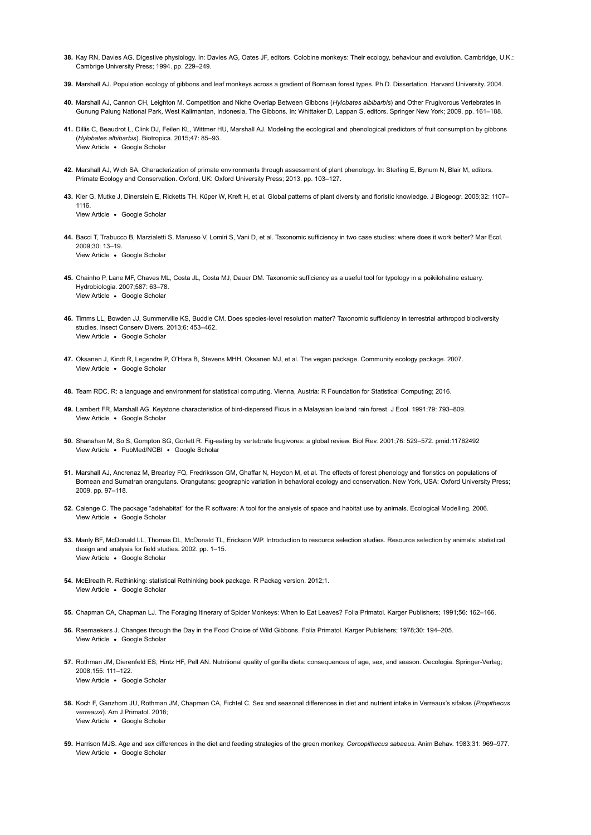- <span id="page-12-0"></span>**38.** Kay RN, Davies AG. Digestive physiology. In: Davies AG, Oates JF, editors. Colobine monkeys: Their ecology, behaviour and evolution. Cambridge, U.K.: Cambrige University Press; 1994. pp. 229–249.
- <span id="page-12-1"></span>**39.** Marshall AJ. Population ecology of gibbons and leaf monkeys across a gradient of Bornean forest types. Ph.D. Dissertation. Harvard University. 2004.
- <span id="page-12-2"></span>**40.** Marshall AJ, Cannon CH, Leighton M. Competition and Niche Overlap Between Gibbons (*Hylobates albibarbis*) and Other Frugivorous Vertebrates in Gunung Palung National Park, West Kalimantan, Indonesia, The Gibbons. In: Whittaker D, Lappan S, editors. Springer New York; 2009. pp. 161–188.
- <span id="page-12-3"></span>**41.** Dillis C, Beaudrot L, Clink DJ, Feilen KL, Wittmer HU, Marshall AJ. Modeling the ecological and phenological predictors of fruit consumption by gibbons View Article · [Google Scholar](http://scholar.google.com/scholar?q=Modeling+the+ecological+and+phenological+predictors+of+fruit+consumption+by+gibbons+%28Hylobates+albibarbis%29+Dillis+2015) (*Hylobates albibarbis*). Biotropica. 2015;47: 85–93.
- <span id="page-12-4"></span>**42.** Marshall AJ, Wich SA. Characterization of primate environments through assessment of plant phenology. In: Sterling E, Bynum N, Blair M, editors. Primate Ecology and Conservation. Oxford, UK: Oxford University Press; 2013. pp. 103–127.
- <span id="page-12-5"></span>**43.** Kier G, Mutke J, Dinerstein E, Ricketts TH, Küper W, Kreft H, et al. Global patterns of plant diversity and floristic knowledge. J Biogeogr. 2005;32: 1107– 1116.

View Article . [Google Scholar](http://scholar.google.com/scholar?q=Global+patterns+of+plant+diversity+and+floristic+knowledge+Kier+2005)

- <span id="page-12-6"></span>**44.** Bacci T, Trabucco B, Marzialetti S, Marusso V, Lomiri S, Vani D, et al. Taxonomic sufficiency in two case studies: where does it work better? Mar Ecol. View Article . [Google Scholar](http://scholar.google.com/scholar?q=Taxonomic+sufficiency+in+two+case+studies%3A+where+does+it+work+better%3F+Bacci+2009) 2009;30: 13–19.
- **45.** Chainho P, Lane MF, Chaves ML, Costa JL, Costa MJ, Dauer DM. Taxonomic sufficiency as a useful tool for typology in a poikilohaline estuary. View Article . [Google Scholar](http://scholar.google.com/scholar?q=Taxonomic+sufficiency+as+a+useful+tool+for+typology+in+a+poikilohaline+estuary+Chainho+2007) Hydrobiologia. 2007;587: 63–78.
- <span id="page-12-7"></span>**46.** Timms LL, Bowden JJ, Summerville KS, Buddle CM. Does species-level resolution matter? Taxonomic sufficiency in terrestrial arthropod biodiversity View Article . [Google Scholar](http://scholar.google.com/scholar?q=Does+species-level+resolution+matter%3F+Taxonomic+sufficiency+in+terrestrial+arthropod+biodiversity+studies+Timms+2013) studies. Insect Conserv Divers. 2013;6: 453–462.
- <span id="page-12-8"></span>**47.** Oksanen J, Kindt R, Legendre P, O'Hara B, Stevens MHH, Oksanen MJ, et al. The vegan package. Community ecology package. 2007. View Article • [Google Scholar](http://scholar.google.com/scholar?q=The+vegan+package+Oksanen+2007)
- <span id="page-12-9"></span>**48.** Team RDC. R: a language and environment for statistical computing. Vienna, Austria: R Foundation for Statistical Computing; 2016.
- <span id="page-12-10"></span>**49.** Lambert FR, Marshall AG. Keystone characteristics of bird-dispersed Ficus in a Malaysian lowland rain forest. J Ecol. 1991;79: 793–809. View Article . [Google Scholar](http://scholar.google.com/scholar?q=Keystone+characteristics+of+bird-dispersed+Ficus+in+a+Malaysian+lowland+rain+forest+Lambert+1991)
- <span id="page-12-11"></span>**50.** Shanahan M, So S, Gompton SG, Gorlett R. Fig-eating by vertebrate frugivores: a global review. Biol Rev. 2001;76: 529–572. pmid:11762492 View Article · [PubMed/NCBI](http://www.ncbi.nlm.nih.gov/pubmed/11762492) · [Google Scholar](http://scholar.google.com/scholar?q=Fig-eating+by+vertebrate+frugivores%3A+a+global+review+Shanahan+2001)
- <span id="page-12-12"></span>**51.** Marshall AJ, Ancrenaz M, Brearley FQ, Fredriksson GM, Ghaffar N, Heydon M, et al. The effects of forest phenology and floristics on populations of Bornean and Sumatran orangutans. Orangutans: geographic variation in behavioral ecology and conservation. New York, USA: Oxford University Press; 2009. pp. 97–118.
- <span id="page-12-13"></span>**52.** Calenge C. The package "adehabitat" for the R software: A tool for the analysis of space and habitat use by animals. Ecological Modelling. 2006. View Article · [Google Scholar](http://scholar.google.com/scholar?q=The+package+%E2%80%9Cadehabitat%E2%80%9D+for+the+R+software%3A+A+tool+for+the+analysis+of+space+and+habitat+use+by+animals+Calenge+2006)
- <span id="page-12-14"></span>**53.** Manly BF, McDonald LL, Thomas DL, McDonald TL, Erickson WP. Introduction to resource selection studies. Resource selection by animals: statistical View Article . [Google Scholar](http://scholar.google.com/scholar?q=Introduction+to+resource+selection+studies+Manly+2002) design and analysis for field studies. 2002. pp. 1–15.
- <span id="page-12-15"></span>**54.** McElreath R. Rethinking: statistical Rethinking book package. R Packag version. 2012;1. View Article . [Google Scholar](http://scholar.google.com/scholar?q=Rethinking%3A+statistical+Rethinking+book+package+McElreath+2012)
- <span id="page-12-16"></span>**55.** Chapman CA, Chapman LJ. The Foraging Itinerary of Spider Monkeys: When to Eat Leaves? Folia Primatol. Karger Publishers; 1991;56: 162–166.
- <span id="page-12-17"></span>**56.** Raemaekers J. Changes through the Day in the Food Choice of Wild Gibbons. Folia Primatol. Karger Publishers; 1978;30: 194–205. View Article . [Google Scholar](http://scholar.google.com/scholar?q=Changes+through+the+Day+in+the+Food+Choice+of+Wild+Gibbons+Raemaekers+1978)
- <span id="page-12-18"></span>**57.** Rothman JM, Dierenfeld ES, Hintz HF, Pell AN. Nutritional quality of gorilla diets: consequences of age, sex, and season. Oecologia. Springer-Verlag; View Article . [Google Scholar](http://scholar.google.com/scholar?q=Nutritional+quality+of+gorilla+diets%3A+consequences+of+age%2C+sex%2C+and+season+Rothman+2008) 2008;155: 111–122.
- <span id="page-12-19"></span>**58.** Koch F, Ganzhorn JU, Rothman JM, Chapman CA, Fichtel C. Sex and seasonal differences in diet and nutrient intake in Verreaux's sifakas (*Propithecus* View Article . [Google Scholar](http://scholar.google.com/scholar?q=Sex+and+seasonal+differences+in+diet+and+nutrient+intake+in+Verreaux%E2%80%99s+sifakas+%28Propithecus+verreauxi%29+Koch+2016) *verreauxi*). Am J Primatol. 2016;
- <span id="page-12-20"></span>**59.** Harrison MJS. Age and sex differences in the diet and feeding strategies of the green monkey, *Cercopithecus sabaeus*. Anim Behav. 1983;31: 969–977.View Article . [Google Scholar](http://scholar.google.com/scholar?q=Age+and+sex+differences+in+the+diet+and+feeding+strategies+of+the+green+monkey%2C+Cercopithecus+sabaeus+Harrison+1983)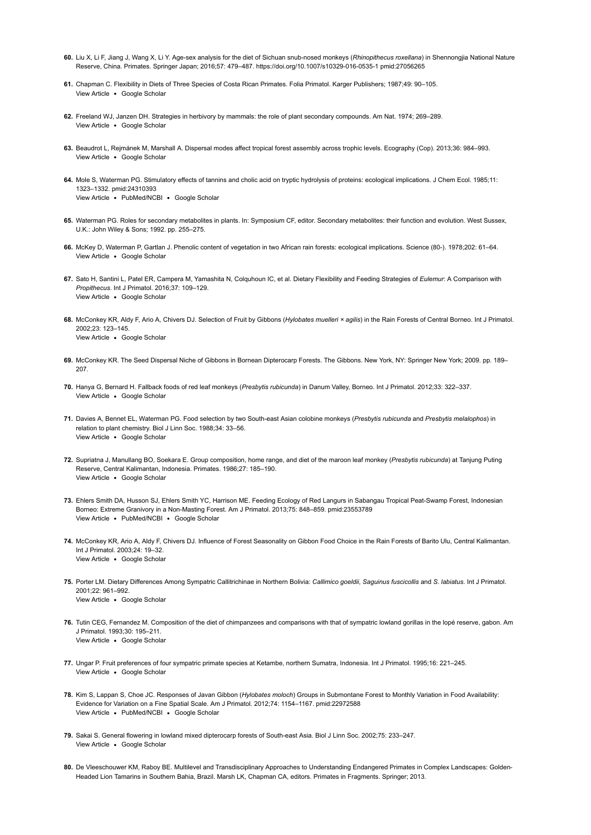- <span id="page-13-0"></span>**60.** Liu X, Li F, Jiang J, Wang X, Li Y. Age-sex analysis for the diet of Sichuan snub-nosed monkeys (*Rhinopithecus roxellana*) in Shennongjia National Nature Reserve, China. Primates. Springer Japan; 2016;57: 479–487. <https://doi.org/10.1007/s10329-016-0535-1> pmid:27056265
- <span id="page-13-1"></span>**61.** Chapman C. Flexibility in Diets of Three Species of Costa Rican Primates. Folia Primatol. Karger Publishers; 1987;49: 90–105. View Article . [Google Scholar](http://scholar.google.com/scholar?q=Flexibility+in+Diets+of+Three+Species+of+Costa+Rican+Primates+Chapman+1987)
- <span id="page-13-2"></span>**62.** Freeland WJ, Janzen DH. Strategies in herbivory by mammals: the role of plant secondary compounds. Am Nat. 1974; 269–289. View Article . [Google Scholar](http://scholar.google.com/scholar?q=Strategies+in+herbivory+by+mammals%3A+the+role+of+plant+secondary+compounds+Freeland+1974)
- <span id="page-13-3"></span>**63.** Beaudrot L, Rejmánek M, Marshall A. Dispersal modes affect tropical forest assembly across trophic levels. Ecography (Cop). 2013;36: 984–993. View Article . [Google Scholar](http://scholar.google.com/scholar?q=Dispersal+modes+affect+tropical+forest+assembly+across+trophic+levels+Beaudrot+2013)
- <span id="page-13-4"></span>**64.** Mole S, Waterman PG. Stimulatory effects of tannins and cholic acid on tryptic hydrolysis of proteins: ecological implications. J Chem Ecol. 1985;11: [View Article](https://doi.org/10.1007/BF01024119) · [PubMed/NCBI](http://www.ncbi.nlm.nih.gov/pubmed/24310393) · [Google Scholar](http://scholar.google.com/scholar?q=Stimulatory+effects+of+tannins+and+cholic+acid+on+tryptic+hydrolysis+of+proteins%3A+ecological+implications+Mole+1985) 1323–1332. pmid:24310393
- <span id="page-13-5"></span>**65.** Waterman PG. Roles for secondary metabolites in plants. In: Symposium CF, editor. Secondary metabolites: their function and evolution. West Sussex, U.K.: John Wiley & Sons; 1992. pp. 255–275.
- <span id="page-13-6"></span>**66.** McKey D, Waterman P, Gartlan J. Phenolic content of vegetation in two African rain forests: ecological implications. Science (80-). 1978;202: 61–64. View Article . [Google Scholar](http://scholar.google.com/scholar?q=Phenolic+content+of+vegetation+in+two+African+rain+forests%3A+ecological+implications+McKey+1978)
- <span id="page-13-7"></span>**67.** Sato H, Santini L, Patel ER, Campera M, Yamashita N, Colquhoun IC, et al. Dietary Flexibility and Feeding Strategies of *Eulemur*: A Comparison with View Article . [Google Scholar](http://scholar.google.com/scholar?q=Dietary+Flexibility+and+Feeding+Strategies+of+Eulemur%3A+A+Comparison+with+Propithecus+Sato+2016) *Propithecus*. Int J Primatol. 2016;37: 109–129.
- <span id="page-13-8"></span>**68.** McConkey KR, Aldy F, Ario A, Chivers DJ. Selection of Fruit by Gibbons (*Hylobates muelleri × agilis*) in the Rain Forests of Central Borneo. Int J Primatol. View Article . [Google Scholar](http://scholar.google.com/scholar?q=Selection+of+Fruit+by+Gibbons+%28Hylobates+muelleri+%C3%97+agilis%29+in+the+Rain+Forests+of+Central+Borneo+McConkey+2002) 2002;23: 123–145.
- <span id="page-13-9"></span>**69.** McConkey KR. The Seed Dispersal Niche of Gibbons in Bornean Dipterocarp Forests. The Gibbons. New York, NY: Springer New York; 2009. pp. 189– 207.
- <span id="page-13-10"></span>**70.** Hanya G, Bernard H. Fallback foods of red leaf monkeys (*Presbytis rubicunda*) in Danum Valley, Borneo. Int J Primatol. 2012;33: 322–337. View Article . [Google Scholar](http://scholar.google.com/scholar?q=Fallback+foods+of+red+leaf+monkeys+%28Presbytis+rubicunda%29+in+Danum+Valley%2C+Borneo+Hanya+2012)
- <span id="page-13-11"></span>**71.** Davies A, Bennet EL, Waterman PG. Food selection by two South-east Asian colobine monkeys (*Presbytis rubicunda* and *Presbytis melalophos*) in View Article . [Google Scholar](http://scholar.google.com/scholar?q=Food+selection+by+two+South-east+Asian+colobine+monkeys+%28Presbytis+rubicunda+and+Presbytis+melalophos%29+in+relation+to+plant+chemistry+Davies+1988) relation to plant chemistry. Biol J Linn Soc. 1988;34: 33–56.
- <span id="page-13-12"></span>**72.** Supriatna J, Manullang BO, Soekara E. Group composition, home range, and diet of the maroon leaf monkey (*Presbytis rubicunda*) at Tanjung Puting View Article . [Google Scholar](http://scholar.google.com/scholar?q=Group+composition%2C+home+range%2C+and+diet+of+the+maroon+leaf+monkey+%28Presbytis+rubicunda%29+at+Tanjung+Puting+Reserve%2C+Central+Kalimantan%2C+Indonesia+Supriatna+1986) Reserve, Central Kalimantan, Indonesia. Primates. 1986;27: 185–190.
- <span id="page-13-13"></span>**73.** Ehlers Smith DA, Husson SJ, Ehlers Smith YC, Harrison ME. Feeding Ecology of Red Langurs in Sabangau Tropical Peat-Swamp Forest, Indonesian [View Article](https://doi.org/10.1002/ajp.22148) • [PubMed/NCBI](http://www.ncbi.nlm.nih.gov/pubmed/23553789) • [Google Scholar](http://scholar.google.com/scholar?q=Feeding+Ecology+of+Red+Langurs+in+Sabangau+Tropical+Peat-Swamp+Forest%2C+Indonesian+Borneo%3A+Extreme+Granivory+in+a+Non-Masting+Forest+Ehlers+2013) Borneo: Extreme Granivory in a Non-Masting Forest. Am J Primatol. 2013;75: 848–859. pmid:23553789
- <span id="page-13-14"></span>**74.** McConkey KR, Ario A, Aldy F, Chivers DJ. Influence of Forest Seasonality on Gibbon Food Choice in the Rain Forests of Barito Ulu, Central Kalimantan. View Article . [Google Scholar](http://scholar.google.com/scholar?q=Influence+of+Forest+Seasonality+on+Gibbon+Food+Choice+in+the+Rain+Forests+of+Barito+Ulu%2C+Central+Kalimantan+McConkey+2003) Int J Primatol. 2003;24: 19–32.
- <span id="page-13-15"></span>**75.** Porter LM. Dietary Differences Among Sympatric Callitrichinae in Northern Bolivia: *Callimico goeldii*, *Saguinus fuscicollis* and *S*. *labiatus*. Int J Primatol. View Article . [Google Scholar](http://scholar.google.com/scholar?q=Dietary+Differences+Among+Sympatric+Callitrichinae+in+Northern+Bolivia%3A+Callimico+goeldii%2C+Saguinus+fuscicollis+and+S.+labiatus+Porter+2001) 2001;22: 961–992.
- <span id="page-13-16"></span>**76.** Tutin CEG, Fernandez M. Composition of the diet of chimpanzees and comparisons with that of sympatric lowland gorillas in the lopé reserve, gabon. Am View Article . [Google Scholar](http://scholar.google.com/scholar?q=Composition+of+the+diet+of+chimpanzees+and+comparisons+with+that+of+sympatric+lowland+gorillas+in+the+lop%C3%A9+reserve%2C+gabon+Tutin+1993) J Primatol. 1993;30: 195–211.
- <span id="page-13-17"></span>**77.** Ungar P. Fruit preferences of four sympatric primate species at Ketambe, northern Sumatra, Indonesia. Int J Primatol. 1995;16: 221–245. View Article . [Google Scholar](http://scholar.google.com/scholar?q=Fruit+preferences+of+four+sympatric+primate+species+at+Ketambe%2C+northern+Sumatra%2C+Indonesia+Ungar+1995)
- <span id="page-13-18"></span>**78.** Kim S, Lappan S, Choe JC. Responses of Javan Gibbon (*Hylobates moloch*) Groups in Submontane Forest to Monthly Variation in Food Availability: [View Article](https://doi.org/10.1002/ajp.22074) · [PubMed/NCBI](http://www.ncbi.nlm.nih.gov/pubmed/22972588) · [Google Scholar](http://scholar.google.com/scholar?q=Responses+of+Javan+Gibbon+%28Hylobates+moloch%29+Groups+in+Submontane+Forest+to+Monthly+Variation+in+Food+Availability%3A+Evidence+for+Variation+on+a+Fine+Spatial+Scale+Kim+2012) Evidence for Variation on a Fine Spatial Scale. Am J Primatol. 2012;74: 1154–1167. pmid:22972588
- <span id="page-13-19"></span>**79.** Sakai S. General flowering in lowland mixed dipterocarp forests of South-east Asia. Biol J Linn Soc. 2002;75: 233–247. View Article . [Google Scholar](http://scholar.google.com/scholar?q=General+flowering+in+lowland+mixed+dipterocarp+forests+of+South-east+Asia+Sakai+2002)
- <span id="page-13-20"></span>**80.** De Vleeschouwer KM, Raboy BE. Multilevel and Transdisciplinary Approaches to Understanding Endangered Primates in Complex Landscapes: Golden-Headed Lion Tamarins in Southern Bahia, Brazil. Marsh LK, Chapman CA, editors. Primates in Fragments. Springer; 2013.